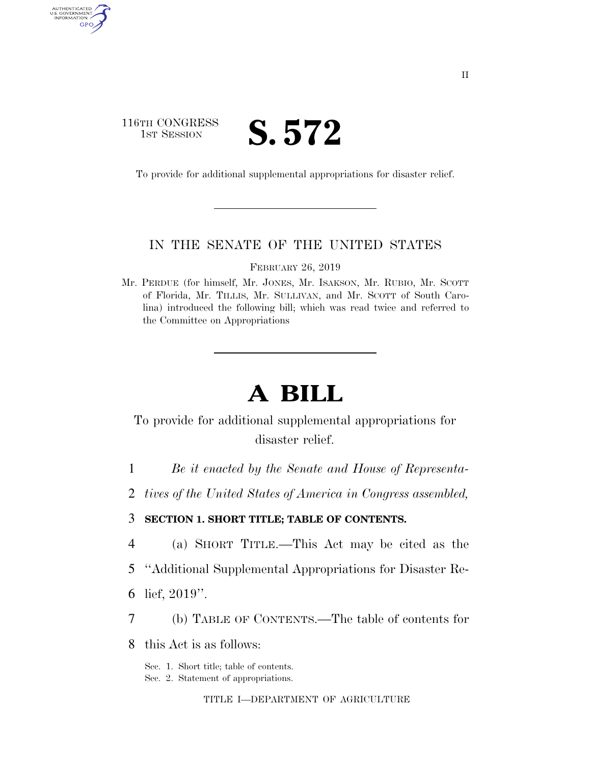## 116TH CONGRESS **IST SESSION S. 572**

AUTHENTICATED U.S. GOVERNMENT GPO

To provide for additional supplemental appropriations for disaster relief.

#### IN THE SENATE OF THE UNITED STATES

FEBRUARY 26, 2019

Mr. PERDUE (for himself, Mr. JONES, Mr. ISAKSON, Mr. RUBIO, Mr. SCOTT of Florida, Mr. TILLIS, Mr. SULLIVAN, and Mr. SCOTT of South Carolina) introduced the following bill; which was read twice and referred to the Committee on Appropriations

# **A BILL**

To provide for additional supplemental appropriations for disaster relief.

1 *Be it enacted by the Senate and House of Representa-*

2 *tives of the United States of America in Congress assembled,* 

3 **SECTION 1. SHORT TITLE; TABLE OF CONTENTS.** 

- 4 (a) SHORT TITLE.—This Act may be cited as the
- 5 ''Additional Supplemental Appropriations for Disaster Re-
- 6 lief, 2019''.
- 7 (b) TABLE OF CONTENTS.—The table of contents for

8 this Act is as follows:

Sec. 1. Short title; table of contents.

Sec. 2. Statement of appropriations.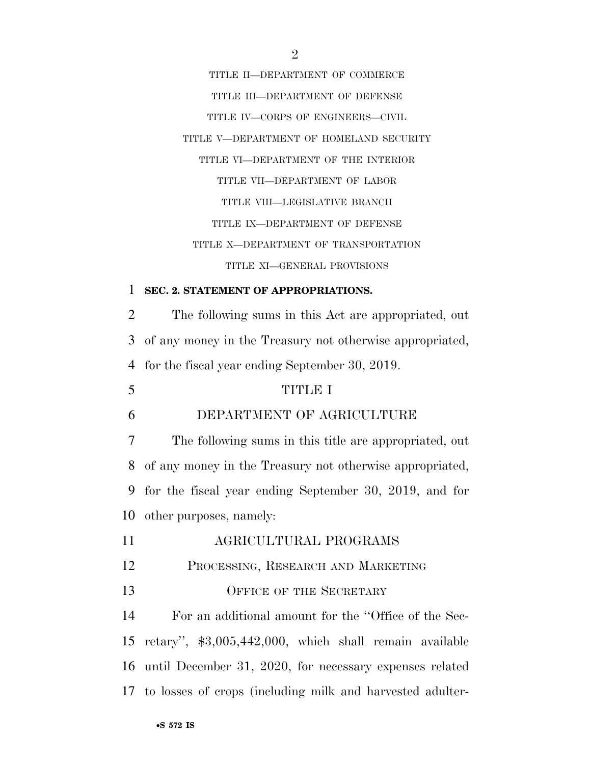TITLE II—DEPARTMENT OF COMMERCE TITLE III—DEPARTMENT OF DEFENSE TITLE IV—CORPS OF ENGINEERS—CIVIL TITLE V—DEPARTMENT OF HOMELAND SECURITY TITLE VI—DEPARTMENT OF THE INTERIOR TITLE VII—DEPARTMENT OF LABOR TITLE VIII—LEGISLATIVE BRANCH TITLE IX—DEPARTMENT OF DEFENSE TITLE X—DEPARTMENT OF TRANSPORTATION TITLE XI—GENERAL PROVISIONS

#### 1 **SEC. 2. STATEMENT OF APPROPRIATIONS.**

2 The following sums in this Act are appropriated, out 3 of any money in the Treasury not otherwise appropriated, 4 for the fiscal year ending September 30, 2019.

#### 5 TITLE I

## 6 DEPARTMENT OF AGRICULTURE

 The following sums in this title are appropriated, out of any money in the Treasury not otherwise appropriated, for the fiscal year ending September 30, 2019, and for other purposes, namely:

- 11 AGRICULTURAL PROGRAMS
- 12 PROCESSING, RESEARCH AND MARKETING
- 13 OFFICE OF THE SECRETARY

 For an additional amount for the ''Office of the Sec- retary'', \$3,005,442,000, which shall remain available until December 31, 2020, for necessary expenses related to losses of crops (including milk and harvested adulter-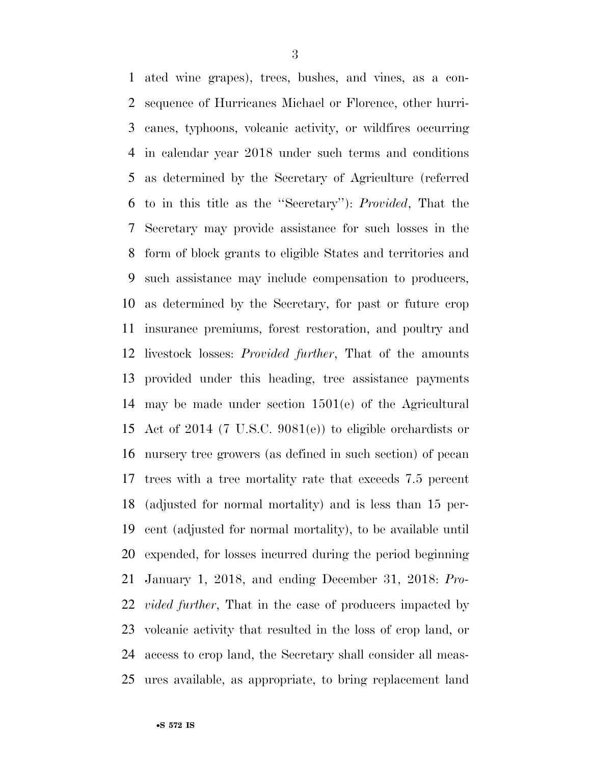ated wine grapes), trees, bushes, and vines, as a con- sequence of Hurricanes Michael or Florence, other hurri- canes, typhoons, volcanic activity, or wildfires occurring in calendar year 2018 under such terms and conditions as determined by the Secretary of Agriculture (referred to in this title as the ''Secretary''): *Provided*, That the Secretary may provide assistance for such losses in the form of block grants to eligible States and territories and such assistance may include compensation to producers, as determined by the Secretary, for past or future crop insurance premiums, forest restoration, and poultry and livestock losses: *Provided further*, That of the amounts provided under this heading, tree assistance payments may be made under section 1501(e) of the Agricultural Act of 2014 (7 U.S.C. 9081(e)) to eligible orchardists or nursery tree growers (as defined in such section) of pecan trees with a tree mortality rate that exceeds 7.5 percent (adjusted for normal mortality) and is less than 15 per- cent (adjusted for normal mortality), to be available until expended, for losses incurred during the period beginning January 1, 2018, and ending December 31, 2018: *Pro- vided further*, That in the case of producers impacted by volcanic activity that resulted in the loss of crop land, or access to crop land, the Secretary shall consider all meas-ures available, as appropriate, to bring replacement land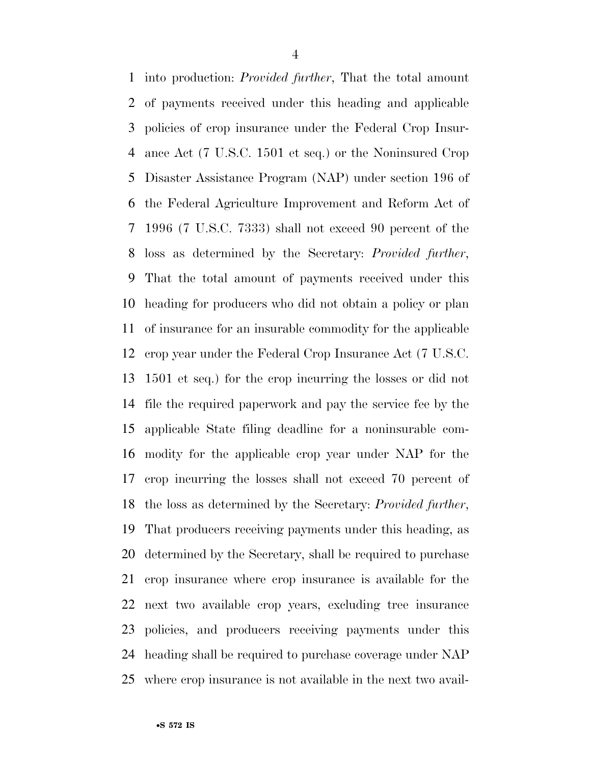into production: *Provided further*, That the total amount of payments received under this heading and applicable policies of crop insurance under the Federal Crop Insur- ance Act (7 U.S.C. 1501 et seq.) or the Noninsured Crop Disaster Assistance Program (NAP) under section 196 of the Federal Agriculture Improvement and Reform Act of 1996 (7 U.S.C. 7333) shall not exceed 90 percent of the loss as determined by the Secretary: *Provided further*, That the total amount of payments received under this heading for producers who did not obtain a policy or plan of insurance for an insurable commodity for the applicable crop year under the Federal Crop Insurance Act (7 U.S.C. 1501 et seq.) for the crop incurring the losses or did not file the required paperwork and pay the service fee by the applicable State filing deadline for a noninsurable com- modity for the applicable crop year under NAP for the crop incurring the losses shall not exceed 70 percent of the loss as determined by the Secretary: *Provided further*, That producers receiving payments under this heading, as determined by the Secretary, shall be required to purchase crop insurance where crop insurance is available for the next two available crop years, excluding tree insurance policies, and producers receiving payments under this heading shall be required to purchase coverage under NAP where crop insurance is not available in the next two avail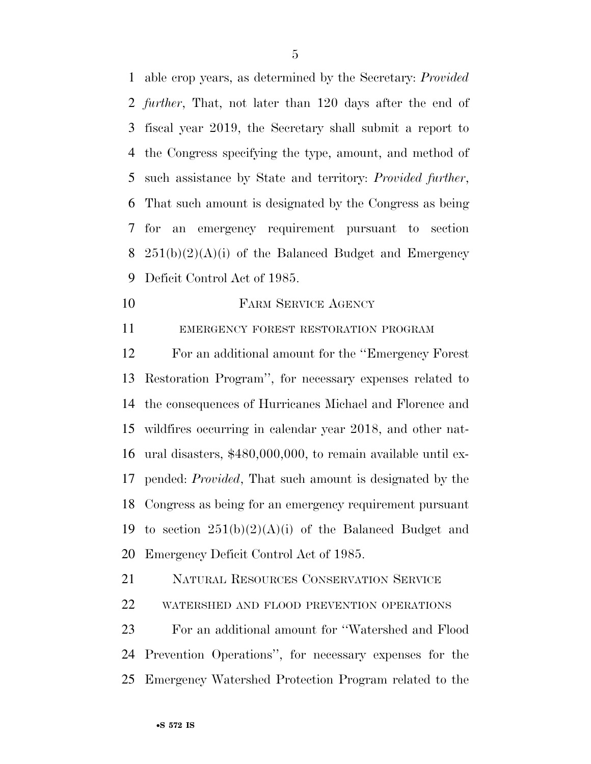able crop years, as determined by the Secretary: *Provided further*, That, not later than 120 days after the end of fiscal year 2019, the Secretary shall submit a report to the Congress specifying the type, amount, and method of such assistance by State and territory: *Provided further*, That such amount is designated by the Congress as being for an emergency requirement pursuant to section  $251(b)(2)(A)(i)$  of the Balanced Budget and Emergency Deficit Control Act of 1985.

10 FARM SERVICE AGENCY

EMERGENCY FOREST RESTORATION PROGRAM

 For an additional amount for the ''Emergency Forest Restoration Program'', for necessary expenses related to the consequences of Hurricanes Michael and Florence and wildfires occurring in calendar year 2018, and other nat- ural disasters, \$480,000,000, to remain available until ex- pended: *Provided*, That such amount is designated by the Congress as being for an emergency requirement pursuant 19 to section  $251(b)(2)(A)(i)$  of the Balanced Budget and Emergency Deficit Control Act of 1985.

NATURAL RESOURCES CONSERVATION SERVICE

WATERSHED AND FLOOD PREVENTION OPERATIONS

 For an additional amount for ''Watershed and Flood Prevention Operations'', for necessary expenses for the Emergency Watershed Protection Program related to the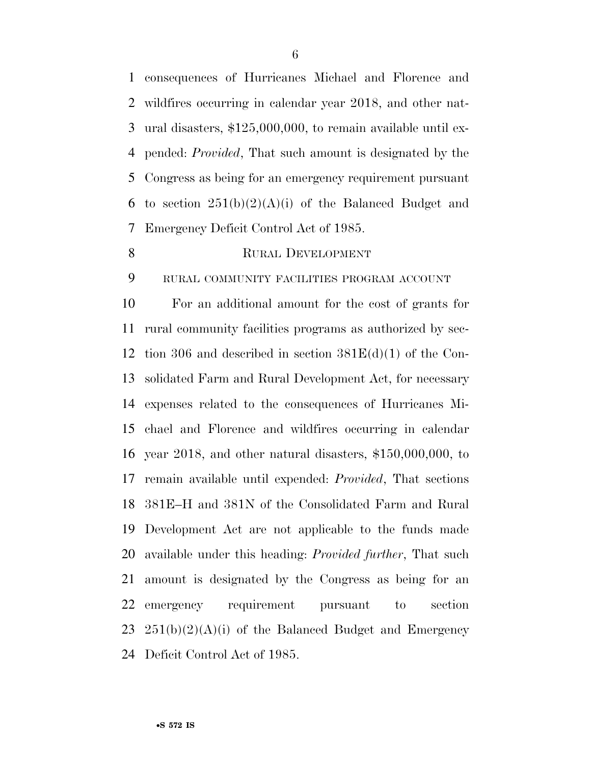consequences of Hurricanes Michael and Florence and wildfires occurring in calendar year 2018, and other nat- ural disasters, \$125,000,000, to remain available until ex- pended: *Provided*, That such amount is designated by the Congress as being for an emergency requirement pursuant 6 to section  $251(b)(2)(A)(i)$  of the Balanced Budget and Emergency Deficit Control Act of 1985.

#### 8 RURAL DEVELOPMENT

RURAL COMMUNITY FACILITIES PROGRAM ACCOUNT

 For an additional amount for the cost of grants for rural community facilities programs as authorized by sec- tion 306 and described in section 381E(d)(1) of the Con- solidated Farm and Rural Development Act, for necessary expenses related to the consequences of Hurricanes Mi- chael and Florence and wildfires occurring in calendar year 2018, and other natural disasters, \$150,000,000, to remain available until expended: *Provided*, That sections 381E–H and 381N of the Consolidated Farm and Rural Development Act are not applicable to the funds made available under this heading: *Provided further*, That such amount is designated by the Congress as being for an emergency requirement pursuant to section  $251(b)(2)(A)(i)$  of the Balanced Budget and Emergency Deficit Control Act of 1985.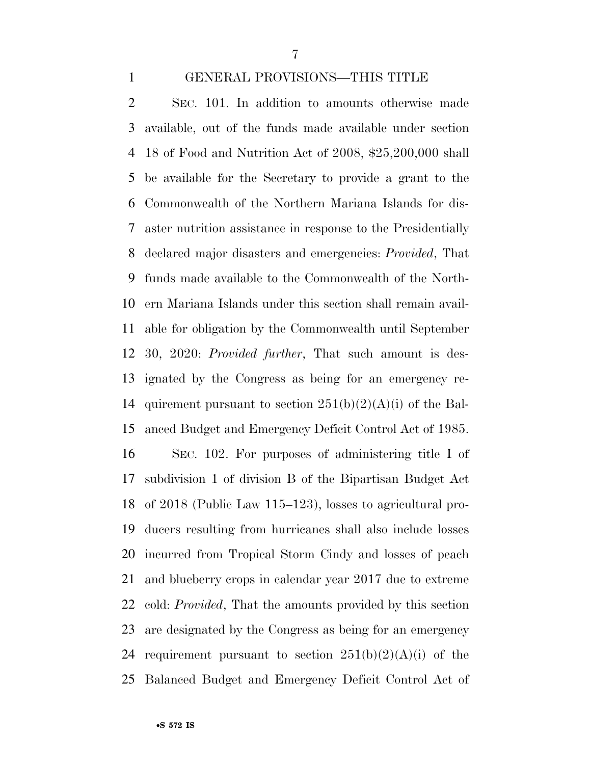#### GENERAL PROVISIONS—THIS TITLE

 SEC. 101. In addition to amounts otherwise made available, out of the funds made available under section 18 of Food and Nutrition Act of 2008, \$25,200,000 shall be available for the Secretary to provide a grant to the Commonwealth of the Northern Mariana Islands for dis- aster nutrition assistance in response to the Presidentially declared major disasters and emergencies: *Provided*, That funds made available to the Commonwealth of the North- ern Mariana Islands under this section shall remain avail- able for obligation by the Commonwealth until September 30, 2020: *Provided further*, That such amount is des- ignated by the Congress as being for an emergency re-14 quirement pursuant to section  $251(b)(2)(A)(i)$  of the Bal- anced Budget and Emergency Deficit Control Act of 1985. SEC. 102. For purposes of administering title I of subdivision 1 of division B of the Bipartisan Budget Act of 2018 (Public Law 115–123), losses to agricultural pro- ducers resulting from hurricanes shall also include losses incurred from Tropical Storm Cindy and losses of peach and blueberry crops in calendar year 2017 due to extreme cold: *Provided*, That the amounts provided by this section are designated by the Congress as being for an emergency 24 requirement pursuant to section  $251(b)(2)(A)(i)$  of the

Balanced Budget and Emergency Deficit Control Act of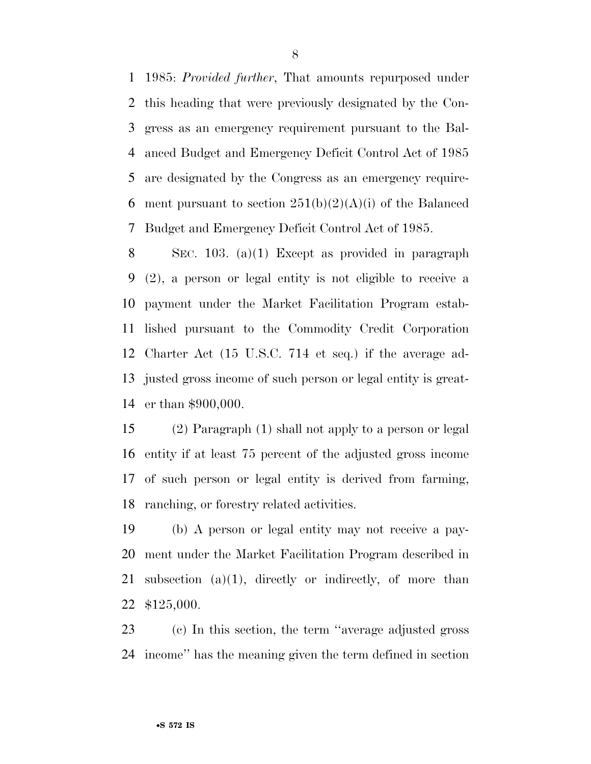1985: *Provided further*, That amounts repurposed under this heading that were previously designated by the Con- gress as an emergency requirement pursuant to the Bal- anced Budget and Emergency Deficit Control Act of 1985 are designated by the Congress as an emergency require-6 ment pursuant to section  $251(b)(2)(A)(i)$  of the Balanced Budget and Emergency Deficit Control Act of 1985.

 SEC. 103. (a)(1) Except as provided in paragraph (2), a person or legal entity is not eligible to receive a payment under the Market Facilitation Program estab- lished pursuant to the Commodity Credit Corporation Charter Act (15 U.S.C. 714 et seq.) if the average ad- justed gross income of such person or legal entity is great-er than \$900,000.

 (2) Paragraph (1) shall not apply to a person or legal entity if at least 75 percent of the adjusted gross income of such person or legal entity is derived from farming, ranching, or forestry related activities.

 (b) A person or legal entity may not receive a pay- ment under the Market Facilitation Program described in 21 subsection  $(a)(1)$ , directly or indirectly, of more than \$125,000.

 (c) In this section, the term ''average adjusted gross income'' has the meaning given the term defined in section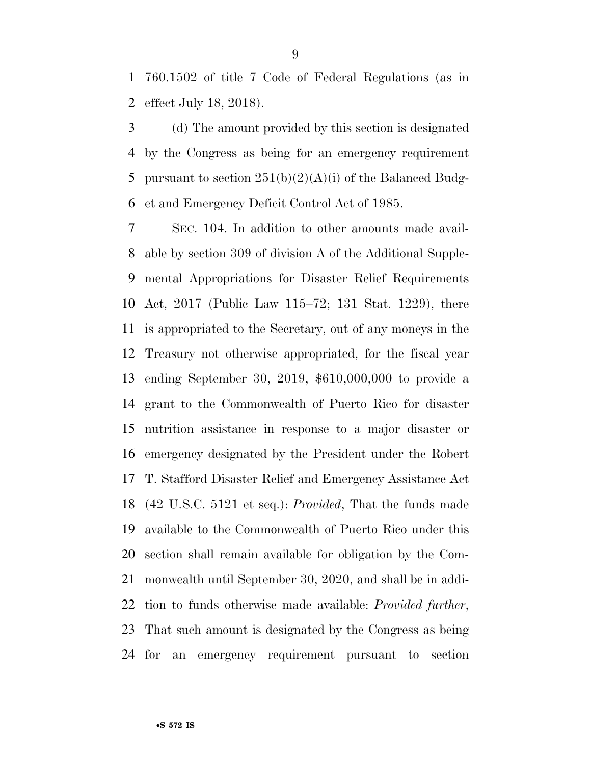760.1502 of title 7 Code of Federal Regulations (as in effect July 18, 2018).

 (d) The amount provided by this section is designated by the Congress as being for an emergency requirement 5 pursuant to section  $251(b)(2)(A)(i)$  of the Balanced Budg-et and Emergency Deficit Control Act of 1985.

 SEC. 104. In addition to other amounts made avail- able by section 309 of division A of the Additional Supple- mental Appropriations for Disaster Relief Requirements Act, 2017 (Public Law 115–72; 131 Stat. 1229), there is appropriated to the Secretary, out of any moneys in the Treasury not otherwise appropriated, for the fiscal year ending September 30, 2019, \$610,000,000 to provide a grant to the Commonwealth of Puerto Rico for disaster nutrition assistance in response to a major disaster or emergency designated by the President under the Robert T. Stafford Disaster Relief and Emergency Assistance Act (42 U.S.C. 5121 et seq.): *Provided*, That the funds made available to the Commonwealth of Puerto Rico under this section shall remain available for obligation by the Com- monwealth until September 30, 2020, and shall be in addi- tion to funds otherwise made available: *Provided further*, That such amount is designated by the Congress as being for an emergency requirement pursuant to section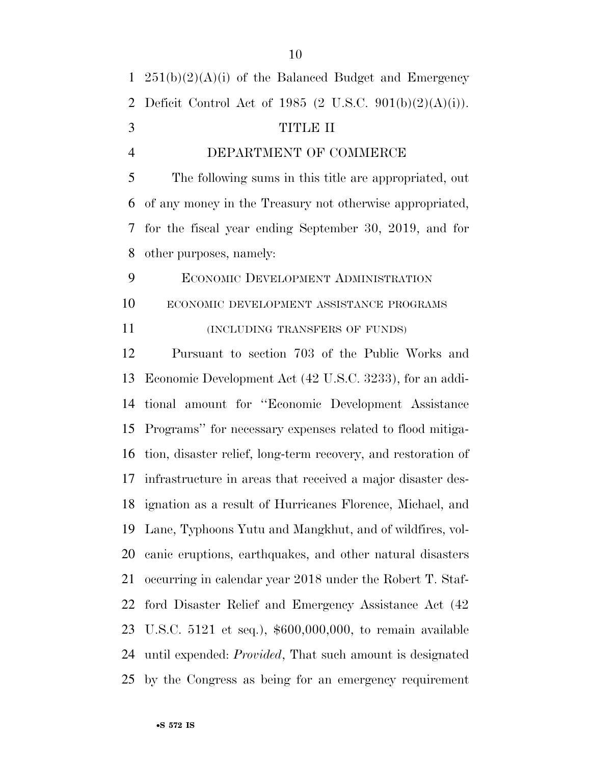| $\mathbf{1}$   | $251(b)(2)(A)(i)$ of the Balanced Budget and Emergency           |
|----------------|------------------------------------------------------------------|
| $\overline{2}$ | Deficit Control Act of 1985 (2 U.S.C. 901(b)(2)(A)(i)).          |
| 3              | TITLE II                                                         |
| $\overline{4}$ | DEPARTMENT OF COMMERCE                                           |
| 5              | The following sums in this title are appropriated, out           |
| 6              | of any money in the Treasury not otherwise appropriated,         |
| 7              | for the fiscal year ending September 30, 2019, and for           |
| 8              | other purposes, namely:                                          |
| 9              | <b>ECONOMIC DEVELOPMENT ADMINISTRATION</b>                       |
| 10             | ECONOMIC DEVELOPMENT ASSISTANCE PROGRAMS                         |
| 11             | (INCLUDING TRANSFERS OF FUNDS)                                   |
| 12             | Pursuant to section 703 of the Public Works and                  |
| 13             | Economic Development Act (42 U.S.C. 3233), for an addi-          |
| 14             | tional amount for "Economic Development Assistance               |
| 15             | Programs" for necessary expenses related to flood mitiga-        |
| 16             | tion, disaster relief, long-term recovery, and restoration of    |
| 17             | infrastructure in areas that received a major disaster des-      |
|                | 18 ignation as a result of Hurricanes Florence, Michael, and     |
| 19             | Lane, Typhoons Yutu and Mangkhut, and of wildfires, vol-         |
| 20             | canic eruptions, earthquakes, and other natural disasters        |
| 21             | occurring in calendar year 2018 under the Robert T. Staf-        |
| 22             | ford Disaster Relief and Emergency Assistance Act (42)           |
| 23             | U.S.C. 5121 et seq.), $$600,000,000$ , to remain available       |
| 24             | until expended: <i>Provided</i> , That such amount is designated |
| 25             | by the Congress as being for an emergency requirement            |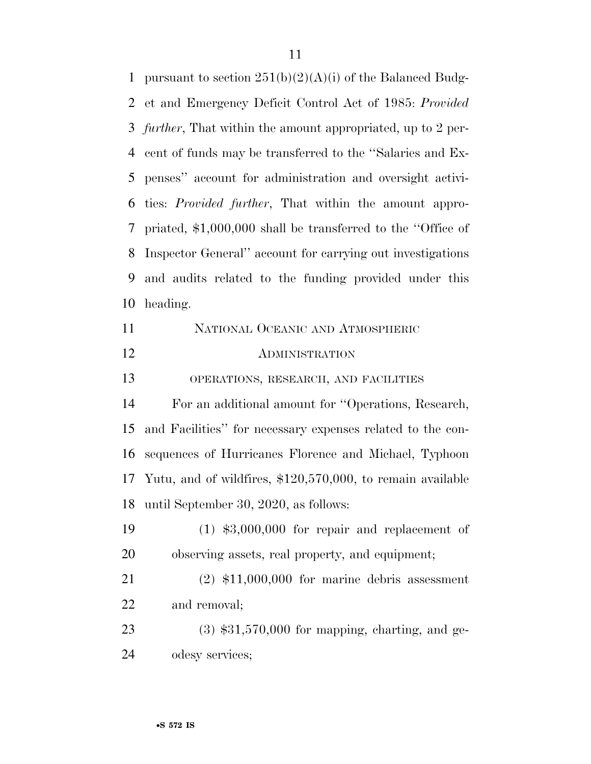1 pursuant to section  $251(b)(2)(A)(i)$  of the Balanced Budg- et and Emergency Deficit Control Act of 1985: *Provided further*, That within the amount appropriated, up to 2 per- cent of funds may be transferred to the ''Salaries and Ex- penses'' account for administration and oversight activi- ties: *Provided further*, That within the amount appro- priated, \$1,000,000 shall be transferred to the ''Office of Inspector General'' account for carrying out investigations and audits related to the funding provided under this heading. NATIONAL OCEANIC AND ATMOSPHERIC ADMINISTRATION OPERATIONS, RESEARCH, AND FACILITIES For an additional amount for ''Operations, Research, and Facilities'' for necessary expenses related to the con- sequences of Hurricanes Florence and Michael, Typhoon Yutu, and of wildfires, \$120,570,000, to remain available until September 30, 2020, as follows: (1) \$3,000,000 for repair and replacement of observing assets, real property, and equipment;

 (2) \$11,000,000 for marine debris assessment and removal;

 (3) \$31,570,000 for mapping, charting, and ge-odesy services;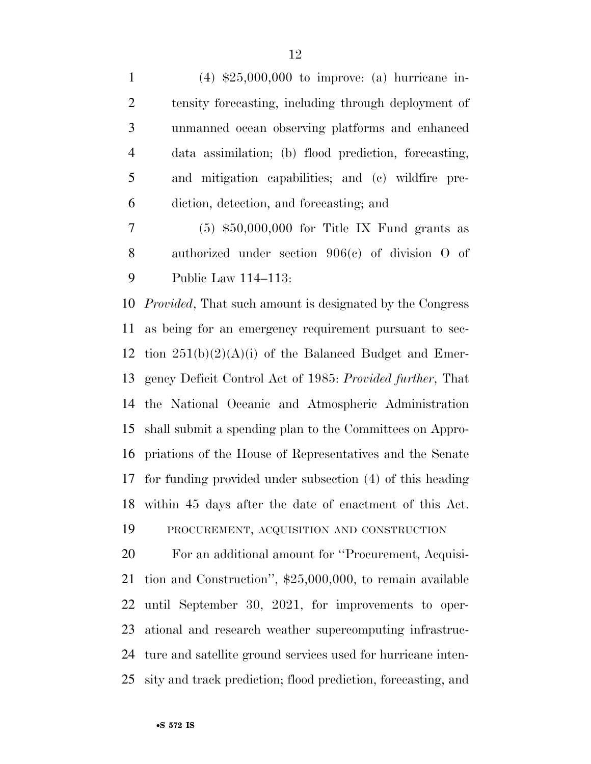(4) \$25,000,000 to improve: (a) hurricane in- tensity forecasting, including through deployment of unmanned ocean observing platforms and enhanced data assimilation; (b) flood prediction, forecasting, and mitigation capabilities; and (c) wildfire pre-diction, detection, and forecasting; and

 (5) \$50,000,000 for Title IX Fund grants as authorized under section 906(c) of division O of Public Law 114–113:

 *Provided*, That such amount is designated by the Congress as being for an emergency requirement pursuant to sec-12 tion  $251(b)(2)(A)(i)$  of the Balanced Budget and Emer- gency Deficit Control Act of 1985: *Provided further*, That the National Oceanic and Atmospheric Administration shall submit a spending plan to the Committees on Appro- priations of the House of Representatives and the Senate for funding provided under subsection (4) of this heading within 45 days after the date of enactment of this Act. PROCUREMENT, ACQUISITION AND CONSTRUCTION

 For an additional amount for ''Procurement, Acquisi- tion and Construction'', \$25,000,000, to remain available until September 30, 2021, for improvements to oper- ational and research weather supercomputing infrastruc- ture and satellite ground services used for hurricane inten-sity and track prediction; flood prediction, forecasting, and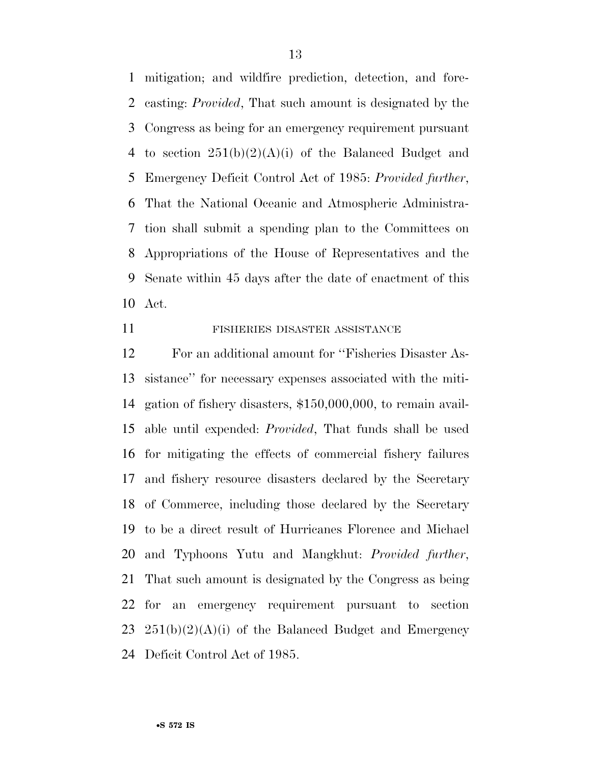mitigation; and wildfire prediction, detection, and fore- casting: *Provided*, That such amount is designated by the Congress as being for an emergency requirement pursuant 4 to section  $251(b)(2)(A)(i)$  of the Balanced Budget and Emergency Deficit Control Act of 1985: *Provided further*, That the National Oceanic and Atmospheric Administra- tion shall submit a spending plan to the Committees on Appropriations of the House of Representatives and the Senate within 45 days after the date of enactment of this Act.

#### FISHERIES DISASTER ASSISTANCE

 For an additional amount for ''Fisheries Disaster As- sistance'' for necessary expenses associated with the miti- gation of fishery disasters, \$150,000,000, to remain avail- able until expended: *Provided*, That funds shall be used for mitigating the effects of commercial fishery failures and fishery resource disasters declared by the Secretary of Commerce, including those declared by the Secretary to be a direct result of Hurricanes Florence and Michael and Typhoons Yutu and Mangkhut: *Provided further*, That such amount is designated by the Congress as being for an emergency requirement pursuant to section  $251(b)(2)(A)(i)$  of the Balanced Budget and Emergency Deficit Control Act of 1985.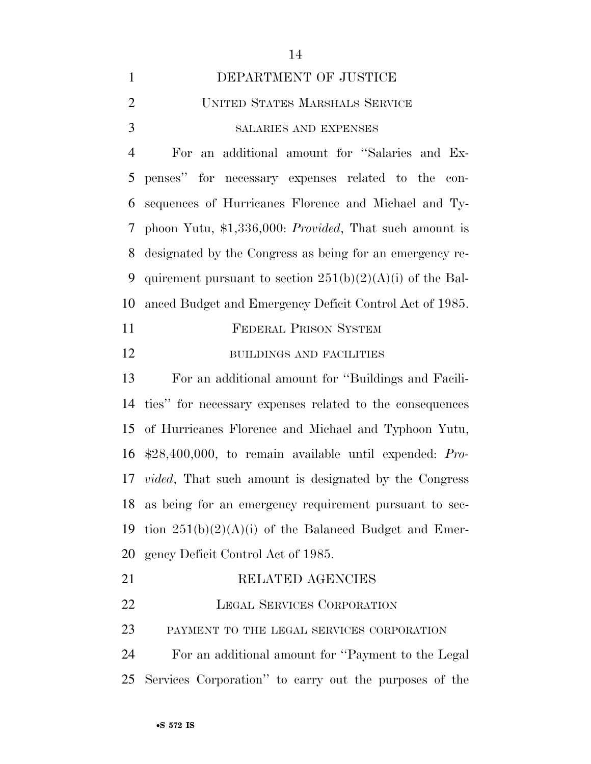| $\mathbf{1}$   | DEPARTMENT OF JUSTICE                                            |
|----------------|------------------------------------------------------------------|
| $\overline{2}$ | UNITED STATES MARSHALS SERVICE                                   |
| 3              | <b>SALARIES AND EXPENSES</b>                                     |
| $\overline{4}$ | an additional amount for "Salaries and Ex-<br>For                |
| 5              | penses" for necessary expenses related to the con-               |
| 6              | sequences of Hurricanes Florence and Michael and Ty-             |
| 7              | phoon Yutu, $$1,336,000$ : <i>Provided</i> , That such amount is |
| 8              | designated by the Congress as being for an emergency re-         |
| 9              | quirement pursuant to section $251(b)(2)(A)(i)$ of the Bal-      |
| 10             | anced Budget and Emergency Deficit Control Act of 1985.          |
| 11             | FEDERAL PRISON SYSTEM                                            |
| 12             | <b>BUILDINGS AND FACILITIES</b>                                  |
| 13             | For an additional amount for "Buildings and Facili-              |
| 14             | ties" for necessary expenses related to the consequences         |
|                | 15 of Hurricanes Florence and Michael and Typhoon Yutu,          |
|                | 16 \$28,400,000, to remain available until expended: Pro-        |
|                | 17 <i>wided</i> That such amount is designated by the Congress   |

 ties'' for necessary expenses related to the consequences of Hurricanes Florence and Michael and Typhoon Yutu, \$28,400,000, to remain available until expended: *Pro- vided*, That such amount is designated by the Congress as being for an emergency requirement pursuant to sec-19 tion  $251(b)(2)(A)(i)$  of the Balanced Budget and Emer-gency Deficit Control Act of 1985.

 RELATED AGENCIES LEGAL SERVICES CORPORATION PAYMENT TO THE LEGAL SERVICES CORPORATION For an additional amount for ''Payment to the Legal Services Corporation'' to carry out the purposes of the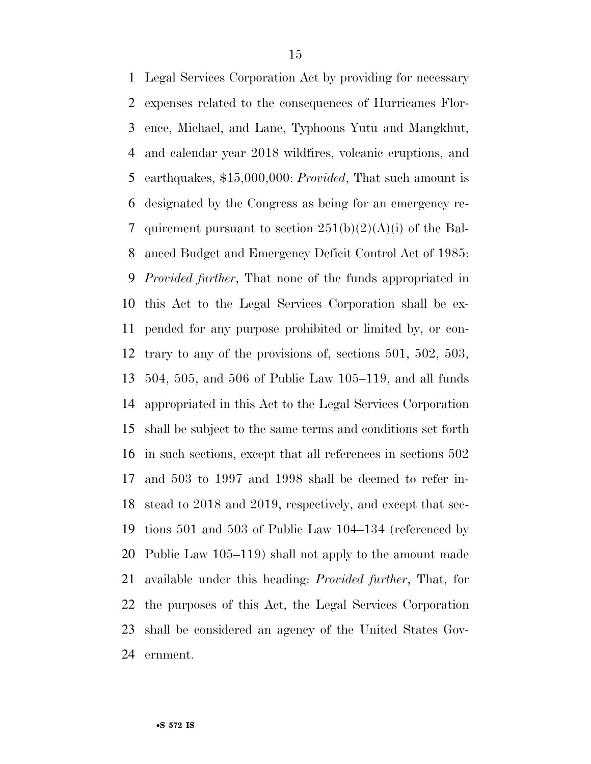Legal Services Corporation Act by providing for necessary expenses related to the consequences of Hurricanes Flor- ence, Michael, and Lane, Typhoons Yutu and Mangkhut, and calendar year 2018 wildfires, volcanic eruptions, and earthquakes, \$15,000,000: *Provided*, That such amount is designated by the Congress as being for an emergency re-7 quirement pursuant to section  $251(b)(2)(A)(i)$  of the Bal- anced Budget and Emergency Deficit Control Act of 1985: *Provided further*, That none of the funds appropriated in this Act to the Legal Services Corporation shall be ex- pended for any purpose prohibited or limited by, or con- trary to any of the provisions of, sections 501, 502, 503, 504, 505, and 506 of Public Law 105–119, and all funds appropriated in this Act to the Legal Services Corporation shall be subject to the same terms and conditions set forth in such sections, except that all references in sections 502 and 503 to 1997 and 1998 shall be deemed to refer in- stead to 2018 and 2019, respectively, and except that sec- tions 501 and 503 of Public Law 104–134 (referenced by Public Law 105–119) shall not apply to the amount made available under this heading: *Provided further*, That, for the purposes of this Act, the Legal Services Corporation shall be considered an agency of the United States Gov-ernment.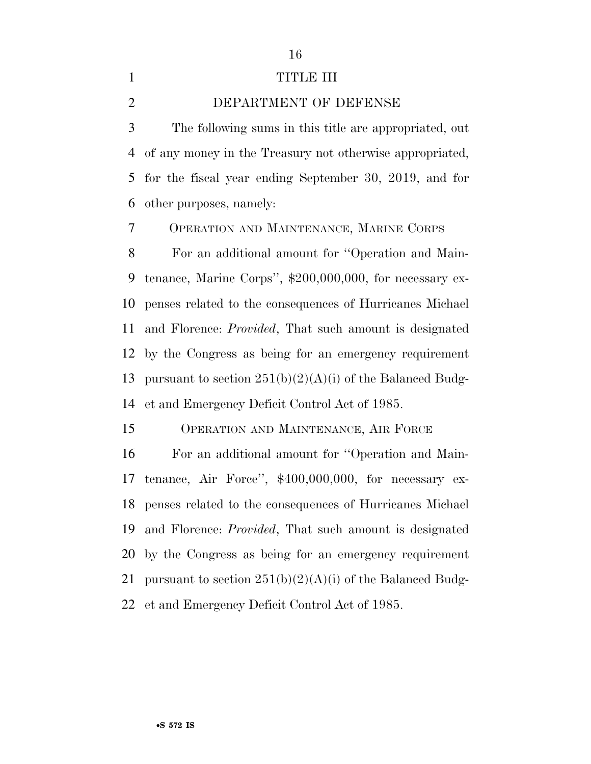## 1 TITLE III

DEPARTMENT OF DEFENSE

 The following sums in this title are appropriated, out of any money in the Treasury not otherwise appropriated, for the fiscal year ending September 30, 2019, and for other purposes, namely:

OPERATION AND MAINTENANCE, MARINE CORPS

 For an additional amount for ''Operation and Main- tenance, Marine Corps'', \$200,000,000, for necessary ex- penses related to the consequences of Hurricanes Michael and Florence: *Provided*, That such amount is designated by the Congress as being for an emergency requirement 13 pursuant to section  $251(b)(2)(A)(i)$  of the Balanced Budg-et and Emergency Deficit Control Act of 1985.

OPERATION AND MAINTENANCE, AIR FORCE

 For an additional amount for ''Operation and Main- tenance, Air Force'', \$400,000,000, for necessary ex- penses related to the consequences of Hurricanes Michael and Florence: *Provided*, That such amount is designated by the Congress as being for an emergency requirement 21 pursuant to section  $251(b)(2)(A)(i)$  of the Balanced Budg-et and Emergency Deficit Control Act of 1985.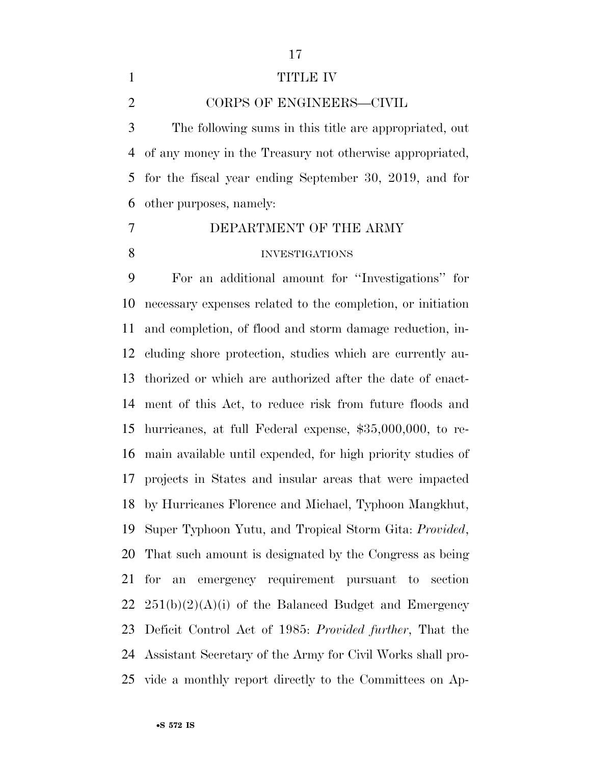## 

## TITLE IV

CORPS OF ENGINEERS—CIVIL

 The following sums in this title are appropriated, out of any money in the Treasury not otherwise appropriated, for the fiscal year ending September 30, 2019, and for other purposes, namely:

 DEPARTMENT OF THE ARMY INVESTIGATIONS

 For an additional amount for ''Investigations'' for necessary expenses related to the completion, or initiation and completion, of flood and storm damage reduction, in- cluding shore protection, studies which are currently au- thorized or which are authorized after the date of enact- ment of this Act, to reduce risk from future floods and hurricanes, at full Federal expense, \$35,000,000, to re- main available until expended, for high priority studies of projects in States and insular areas that were impacted by Hurricanes Florence and Michael, Typhoon Mangkhut, Super Typhoon Yutu, and Tropical Storm Gita: *Provided*, That such amount is designated by the Congress as being for an emergency requirement pursuant to section  $251(b)(2)(A)(i)$  of the Balanced Budget and Emergency Deficit Control Act of 1985: *Provided further*, That the Assistant Secretary of the Army for Civil Works shall pro-vide a monthly report directly to the Committees on Ap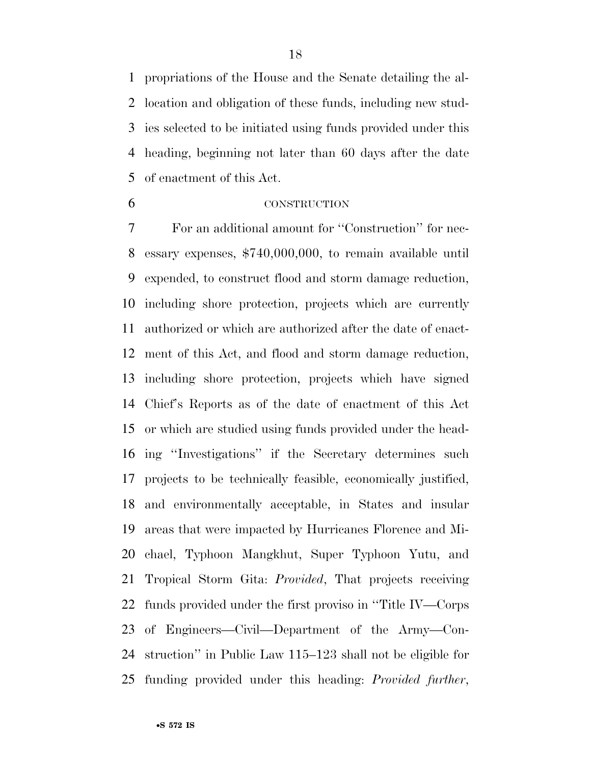propriations of the House and the Senate detailing the al- location and obligation of these funds, including new stud- ies selected to be initiated using funds provided under this heading, beginning not later than 60 days after the date of enactment of this Act.

#### CONSTRUCTION

 For an additional amount for ''Construction'' for nec- essary expenses, \$740,000,000, to remain available until expended, to construct flood and storm damage reduction, including shore protection, projects which are currently authorized or which are authorized after the date of enact- ment of this Act, and flood and storm damage reduction, including shore protection, projects which have signed Chief's Reports as of the date of enactment of this Act or which are studied using funds provided under the head- ing ''Investigations'' if the Secretary determines such projects to be technically feasible, economically justified, and environmentally acceptable, in States and insular areas that were impacted by Hurricanes Florence and Mi- chael, Typhoon Mangkhut, Super Typhoon Yutu, and Tropical Storm Gita: *Provided*, That projects receiving funds provided under the first proviso in ''Title IV—Corps of Engineers—Civil—Department of the Army—Con- struction'' in Public Law 115–123 shall not be eligible for funding provided under this heading: *Provided further*,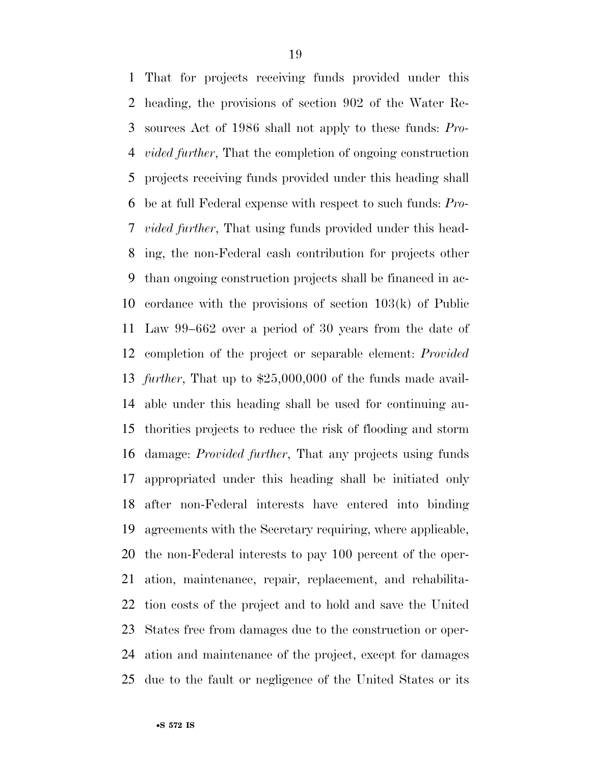That for projects receiving funds provided under this heading, the provisions of section 902 of the Water Re- sources Act of 1986 shall not apply to these funds: *Pro- vided further*, That the completion of ongoing construction projects receiving funds provided under this heading shall be at full Federal expense with respect to such funds: *Pro- vided further*, That using funds provided under this head- ing, the non-Federal cash contribution for projects other than ongoing construction projects shall be financed in ac- cordance with the provisions of section 103(k) of Public Law 99–662 over a period of 30 years from the date of completion of the project or separable element: *Provided further*, That up to \$25,000,000 of the funds made avail- able under this heading shall be used for continuing au- thorities projects to reduce the risk of flooding and storm damage: *Provided further*, That any projects using funds appropriated under this heading shall be initiated only after non-Federal interests have entered into binding agreements with the Secretary requiring, where applicable, the non-Federal interests to pay 100 percent of the oper- ation, maintenance, repair, replacement, and rehabilita- tion costs of the project and to hold and save the United States free from damages due to the construction or oper- ation and maintenance of the project, except for damages due to the fault or negligence of the United States or its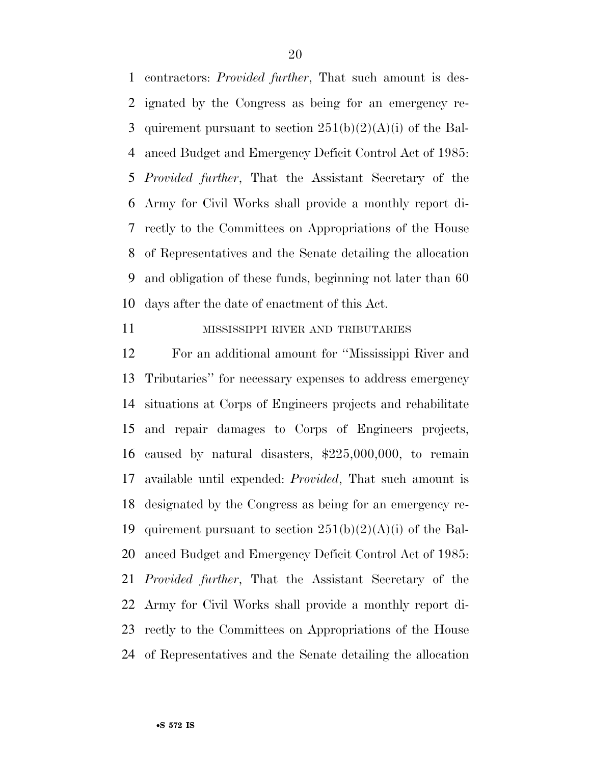contractors: *Provided further*, That such amount is des- ignated by the Congress as being for an emergency re-3 quirement pursuant to section  $251(b)(2)(A)(i)$  of the Bal- anced Budget and Emergency Deficit Control Act of 1985: *Provided further*, That the Assistant Secretary of the Army for Civil Works shall provide a monthly report di- rectly to the Committees on Appropriations of the House of Representatives and the Senate detailing the allocation and obligation of these funds, beginning not later than 60 days after the date of enactment of this Act.

#### MISSISSIPPI RIVER AND TRIBUTARIES

 For an additional amount for ''Mississippi River and Tributaries'' for necessary expenses to address emergency situations at Corps of Engineers projects and rehabilitate and repair damages to Corps of Engineers projects, caused by natural disasters, \$225,000,000, to remain available until expended: *Provided*, That such amount is designated by the Congress as being for an emergency re-19 quirement pursuant to section  $251(b)(2)(A)(i)$  of the Bal- anced Budget and Emergency Deficit Control Act of 1985: *Provided further*, That the Assistant Secretary of the Army for Civil Works shall provide a monthly report di- rectly to the Committees on Appropriations of the House of Representatives and the Senate detailing the allocation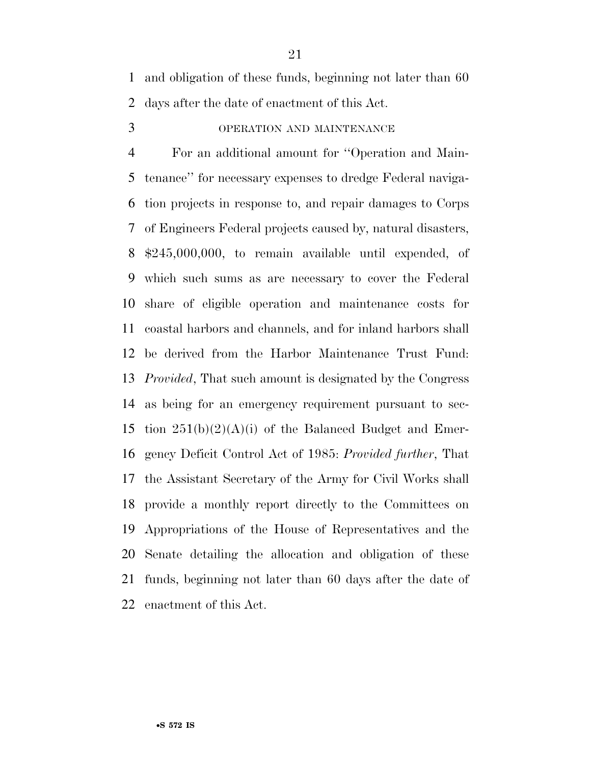and obligation of these funds, beginning not later than 60 days after the date of enactment of this Act.

OPERATION AND MAINTENANCE

 For an additional amount for ''Operation and Main- tenance'' for necessary expenses to dredge Federal naviga- tion projects in response to, and repair damages to Corps of Engineers Federal projects caused by, natural disasters, \$245,000,000, to remain available until expended, of which such sums as are necessary to cover the Federal share of eligible operation and maintenance costs for coastal harbors and channels, and for inland harbors shall be derived from the Harbor Maintenance Trust Fund: *Provided*, That such amount is designated by the Congress as being for an emergency requirement pursuant to sec-15 tion  $251(b)(2)(A)(i)$  of the Balanced Budget and Emer- gency Deficit Control Act of 1985: *Provided further*, That the Assistant Secretary of the Army for Civil Works shall provide a monthly report directly to the Committees on Appropriations of the House of Representatives and the Senate detailing the allocation and obligation of these funds, beginning not later than 60 days after the date of enactment of this Act.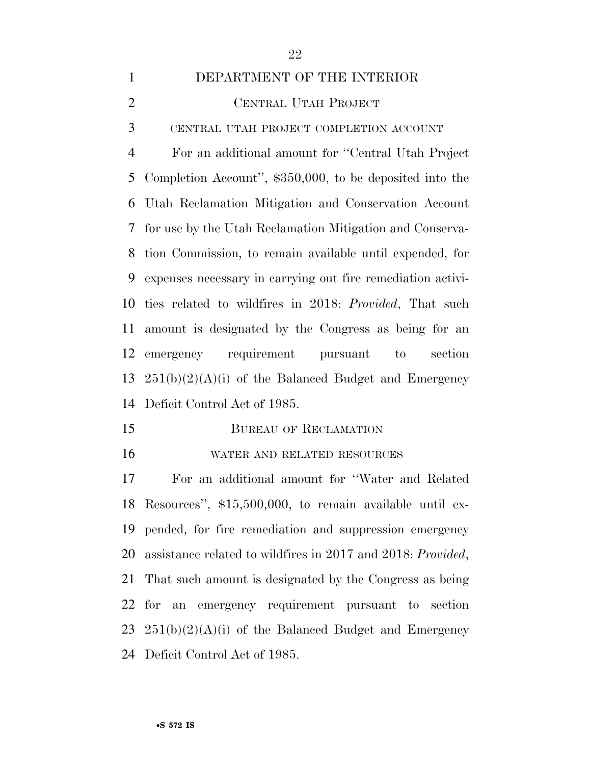#### DEPARTMENT OF THE INTERIOR

CENTRAL UTAH PROJECT

CENTRAL UTAH PROJECT COMPLETION ACCOUNT

 For an additional amount for ''Central Utah Project Completion Account'', \$350,000, to be deposited into the Utah Reclamation Mitigation and Conservation Account for use by the Utah Reclamation Mitigation and Conserva- tion Commission, to remain available until expended, for expenses necessary in carrying out fire remediation activi- ties related to wildfires in 2018: *Provided*, That such amount is designated by the Congress as being for an emergency requirement pursuant to section  $251(b)(2)(A)(i)$  of the Balanced Budget and Emergency Deficit Control Act of 1985.

15 BUREAU OF RECLAMATION

WATER AND RELATED RESOURCES

 For an additional amount for ''Water and Related Resources'', \$15,500,000, to remain available until ex- pended, for fire remediation and suppression emergency assistance related to wildfires in 2017 and 2018: *Provided*, That such amount is designated by the Congress as being for an emergency requirement pursuant to section  $251(b)(2)(A)(i)$  of the Balanced Budget and Emergency Deficit Control Act of 1985.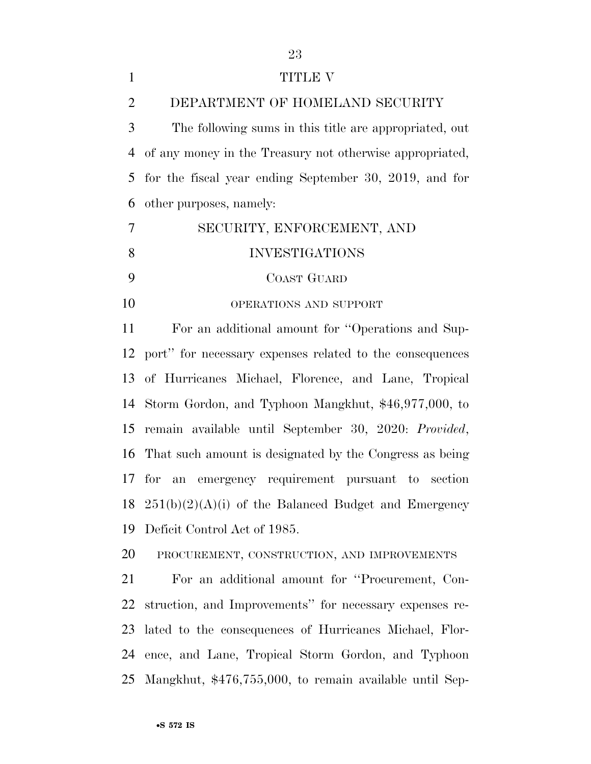| $\mathbf{1}$   | TITLE V                                                     |
|----------------|-------------------------------------------------------------|
| $\overline{2}$ | DEPARTMENT OF HOMELAND SECURITY                             |
| 3              | The following sums in this title are appropriated, out      |
| 4              | of any money in the Treasury not otherwise appropriated,    |
| 5              | for the fiscal year ending September 30, 2019, and for      |
| 6              | other purposes, namely:                                     |
| 7              | SECURITY, ENFORCEMENT, AND                                  |
| 8              | <b>INVESTIGATIONS</b>                                       |
| 9              | <b>COAST GUARD</b>                                          |
| 10             | OPERATIONS AND SUPPORT                                      |
| 11             | For an additional amount for "Operations and Sup-           |
| 12             | port" for necessary expenses related to the consequences    |
| 13             | of Hurricanes Michael, Florence, and Lane, Tropical         |
| 14             | Storm Gordon, and Typhoon Mangkhut, \$46,977,000, to        |
| 15             | remain available until September 30, 2020: Provided,        |
| 16             | That such amount is designated by the Congress as being     |
|                | emergency requirement pursuant to section<br>$17$ for<br>an |
| 18             | $251(b)(2)(A)(i)$ of the Balanced Budget and Emergency      |
| 19             | Deficit Control Act of 1985.                                |
| 20             | PROCUREMENT, CONSTRUCTION, AND IMPROVEMENTS                 |
| 21             | For an additional amount for "Procurement, Con-             |
| 22             | struction, and Improvements" for necessary expenses re-     |
| 23             | lated to the consequences of Hurricanes Michael, Flor-      |
| 24             | ence, and Lane, Tropical Storm Gordon, and Typhoon          |
| 25             | Mangkhut, \$476,755,000, to remain available until Sep-     |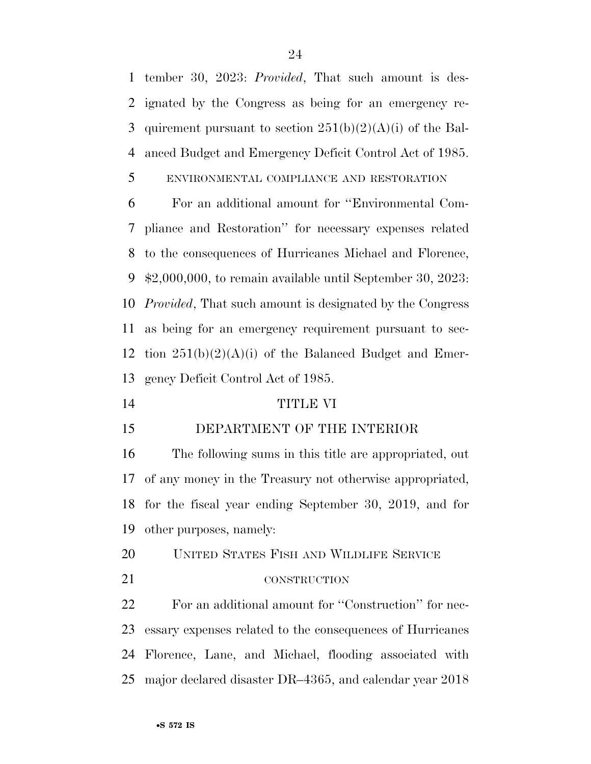tember 30, 2023: *Provided*, That such amount is des- ignated by the Congress as being for an emergency re-3 quirement pursuant to section  $251(b)(2)(A)(i)$  of the Bal-anced Budget and Emergency Deficit Control Act of 1985.

### ENVIRONMENTAL COMPLIANCE AND RESTORATION

 For an additional amount for ''Environmental Com- pliance and Restoration'' for necessary expenses related to the consequences of Hurricanes Michael and Florence, \$2,000,000, to remain available until September 30, 2023: *Provided*, That such amount is designated by the Congress as being for an emergency requirement pursuant to sec-12 tion  $251(b)(2)(A)(i)$  of the Balanced Budget and Emer-gency Deficit Control Act of 1985.

TITLE VI

## DEPARTMENT OF THE INTERIOR

 The following sums in this title are appropriated, out of any money in the Treasury not otherwise appropriated, for the fiscal year ending September 30, 2019, and for other purposes, namely:

UNITED STATES FISH AND WILDLIFE SERVICE

CONSTRUCTION

 For an additional amount for ''Construction'' for nec- essary expenses related to the consequences of Hurricanes Florence, Lane, and Michael, flooding associated with major declared disaster DR–4365, and calendar year 2018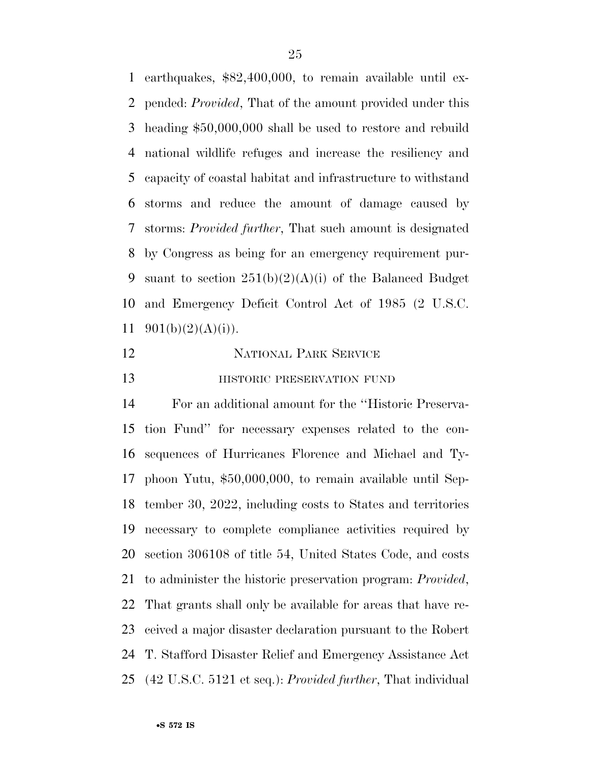earthquakes, \$82,400,000, to remain available until ex- pended: *Provided*, That of the amount provided under this heading \$50,000,000 shall be used to restore and rebuild national wildlife refuges and increase the resiliency and capacity of coastal habitat and infrastructure to withstand storms and reduce the amount of damage caused by storms: *Provided further*, That such amount is designated by Congress as being for an emergency requirement pur-9 suant to section  $251(b)(2)(A)(i)$  of the Balanced Budget and Emergency Deficit Control Act of 1985 (2 U.S.C.  $901(b)(2)(A)(i)$ .

| 12 | <b>NATIONAL PARK SERVICE</b> |
|----|------------------------------|
| 13 | HISTORIC PRESERVATION FUND   |

 For an additional amount for the ''Historic Preserva- tion Fund'' for necessary expenses related to the con- sequences of Hurricanes Florence and Michael and Ty- phoon Yutu, \$50,000,000, to remain available until Sep- tember 30, 2022, including costs to States and territories necessary to complete compliance activities required by section 306108 of title 54, United States Code, and costs to administer the historic preservation program: *Provided*, That grants shall only be available for areas that have re- ceived a major disaster declaration pursuant to the Robert T. Stafford Disaster Relief and Emergency Assistance Act (42 U.S.C. 5121 et seq.): *Provided further*, That individual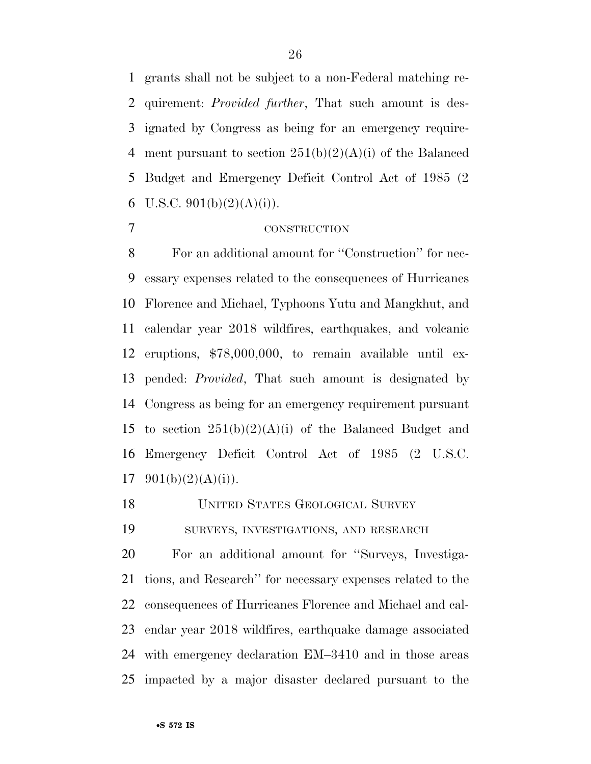grants shall not be subject to a non-Federal matching re- quirement: *Provided further*, That such amount is des- ignated by Congress as being for an emergency require-4 ment pursuant to section  $251(b)(2)(A)(i)$  of the Balanced Budget and Emergency Deficit Control Act of 1985 (2 6 U.S.C.  $901(b)(2)(A)(i)$ .

#### CONSTRUCTION

 For an additional amount for ''Construction'' for nec- essary expenses related to the consequences of Hurricanes Florence and Michael, Typhoons Yutu and Mangkhut, and calendar year 2018 wildfires, earthquakes, and volcanic eruptions, \$78,000,000, to remain available until ex- pended: *Provided*, That such amount is designated by Congress as being for an emergency requirement pursuant 15 to section  $251(b)(2)(A)(i)$  of the Balanced Budget and Emergency Deficit Control Act of 1985 (2 U.S.C.  $901(b)(2)(A)(i)$ .

UNITED STATES GEOLOGICAL SURVEY

SURVEYS, INVESTIGATIONS, AND RESEARCH

 For an additional amount for ''Surveys, Investiga- tions, and Research'' for necessary expenses related to the consequences of Hurricanes Florence and Michael and cal- endar year 2018 wildfires, earthquake damage associated with emergency declaration EM–3410 and in those areas impacted by a major disaster declared pursuant to the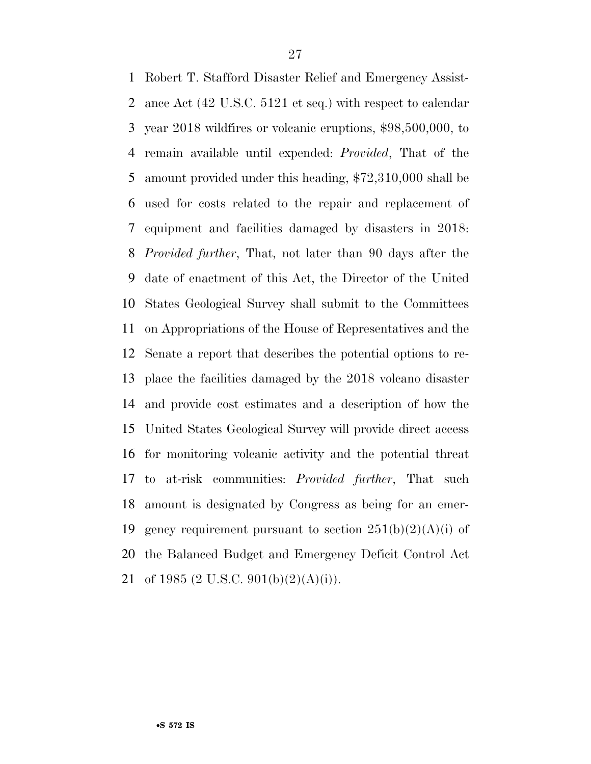Robert T. Stafford Disaster Relief and Emergency Assist- ance Act (42 U.S.C. 5121 et seq.) with respect to calendar year 2018 wildfires or volcanic eruptions, \$98,500,000, to remain available until expended: *Provided*, That of the amount provided under this heading, \$72,310,000 shall be used for costs related to the repair and replacement of equipment and facilities damaged by disasters in 2018: *Provided further*, That, not later than 90 days after the date of enactment of this Act, the Director of the United States Geological Survey shall submit to the Committees on Appropriations of the House of Representatives and the Senate a report that describes the potential options to re- place the facilities damaged by the 2018 volcano disaster and provide cost estimates and a description of how the United States Geological Survey will provide direct access for monitoring volcanic activity and the potential threat to at-risk communities: *Provided further*, That such amount is designated by Congress as being for an emer-19 gency requirement pursuant to section  $251(b)(2)(A)(i)$  of the Balanced Budget and Emergency Deficit Control Act 21 of 1985 (2 U.S.C. 901(b)(2)(A)(i)).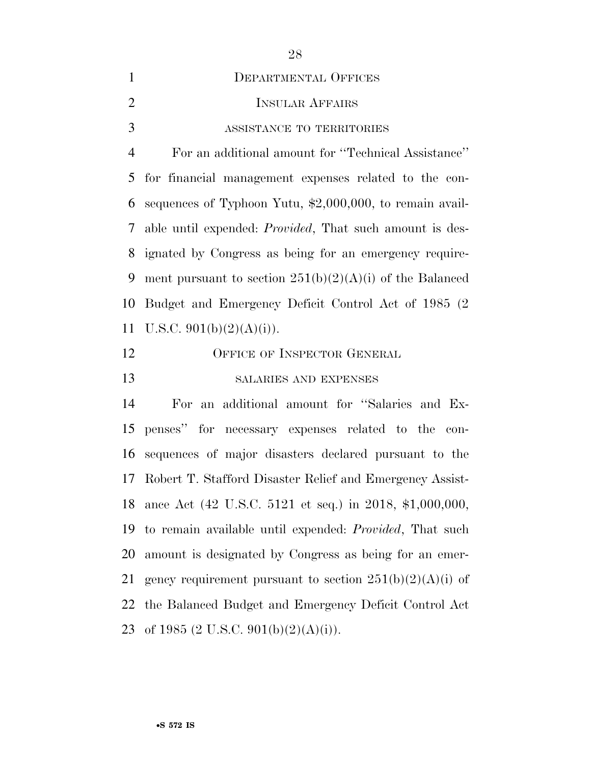| $\mathbf{1}$   | <b>DEPARTMENTAL OFFICES</b>                                     |
|----------------|-----------------------------------------------------------------|
| $\overline{2}$ | <b>INSULAR AFFAIRS</b>                                          |
| 3              | ASSISTANCE TO TERRITORIES                                       |
| $\overline{4}$ | For an additional amount for "Technical Assistance"             |
| 5              | for financial management expenses related to the con-           |
| 6              | sequences of Typhoon Yutu, $$2,000,000$ , to remain avail-      |
| 7              | able until expended: <i>Provided</i> , That such amount is des- |
| 8              | ignated by Congress as being for an emergency require-          |
| 9              | ment pursuant to section $251(b)(2)(A)(i)$ of the Balanced      |
| 10             | Budget and Emergency Deficit Control Act of 1985 (2)            |
| 11             | U.S.C. $901(b)(2)(A)(i)$ ).                                     |
| 12             | OFFICE OF INSPECTOR GENERAL                                     |
| 13             | SALARIES AND EXPENSES                                           |
| 14             | For an additional amount for "Salaries and Ex-                  |
| 15             | penses" for necessary expenses related to the con-              |
| 16             | sequences of major disasters declared pursuant to the           |
| 17             | Robert T. Stafford Disaster Relief and Emergency Assist-        |
| 18             | ance Act (42 U.S.C. 5121 et seq.) in 2018, \$1,000,000,         |
| 19             | to remain available until expended: <i>Provided</i> , That such |
| 20             | amount is designated by Congress as being for an emer-          |
| 21             | gency requirement pursuant to section $251(b)(2)(A)(i)$ of      |
| 22             | the Balanced Budget and Emergency Deficit Control Act           |
| 23             | of 1985 (2 U.S.C. 901(b)(2)(A)(i)).                             |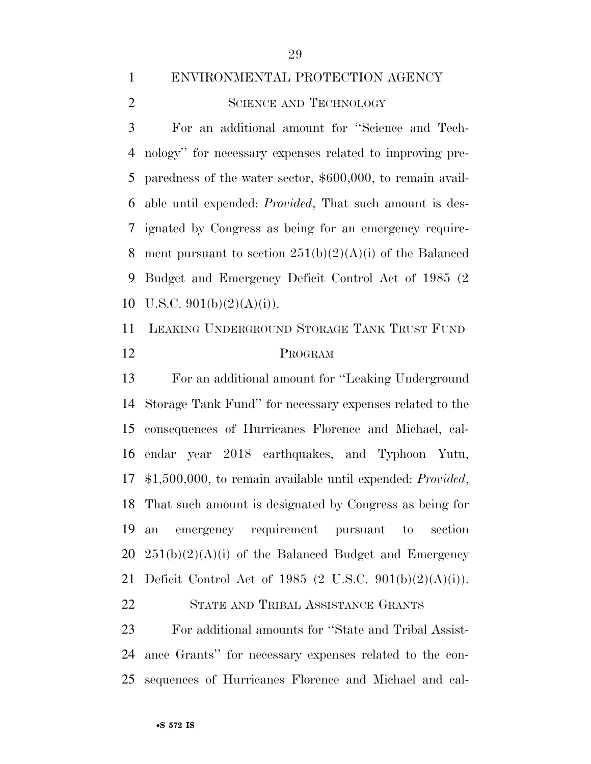#### ENVIRONMENTAL PROTECTION AGENCY

2 SCIENCE AND TECHNOLOGY

 For an additional amount for ''Science and Tech- nology'' for necessary expenses related to improving pre- paredness of the water sector, \$600,000, to remain avail- able until expended: *Provided*, That such amount is des- ignated by Congress as being for an emergency require-8 ment pursuant to section  $251(b)(2)(A)(i)$  of the Balanced Budget and Emergency Deficit Control Act of 1985 (2 10 U.S.C.  $901(b)(2)(A)(i)$ .

 LEAKING UNDERGROUND STORAGE TANK TRUST FUND PROGRAM

 For an additional amount for ''Leaking Underground Storage Tank Fund'' for necessary expenses related to the consequences of Hurricanes Florence and Michael, cal- endar year 2018 earthquakes, and Typhoon Yutu, \$1,500,000, to remain available until expended: *Provided*, That such amount is designated by Congress as being for an emergency requirement pursuant to section  $20\quad 251(b)(2)(A)(i)$  of the Balanced Budget and Emergency Deficit Control Act of 1985 (2 U.S.C. 901(b)(2)(A)(i)).

STATE AND TRIBAL ASSISTANCE GRANTS

 For additional amounts for ''State and Tribal Assist- ance Grants'' for necessary expenses related to the con-sequences of Hurricanes Florence and Michael and cal-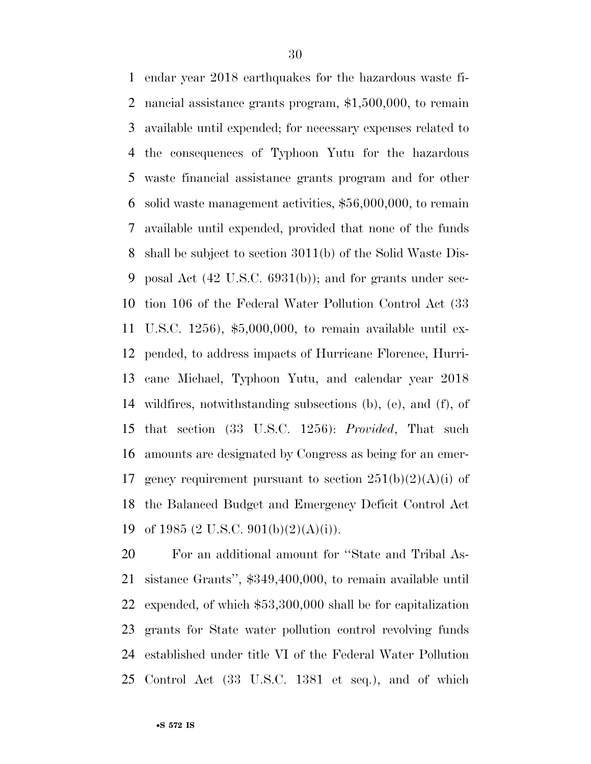endar year 2018 earthquakes for the hazardous waste fi- nancial assistance grants program, \$1,500,000, to remain available until expended; for necessary expenses related to the consequences of Typhoon Yutu for the hazardous waste financial assistance grants program and for other solid waste management activities, \$56,000,000, to remain available until expended, provided that none of the funds shall be subject to section 3011(b) of the Solid Waste Dis- posal Act (42 U.S.C. 6931(b)); and for grants under sec- tion 106 of the Federal Water Pollution Control Act (33 U.S.C. 1256), \$5,000,000, to remain available until ex- pended, to address impacts of Hurricane Florence, Hurri- cane Michael, Typhoon Yutu, and calendar year 2018 wildfires, notwithstanding subsections (b), (e), and (f), of that section (33 U.S.C. 1256): *Provided*, That such amounts are designated by Congress as being for an emer-17 gency requirement pursuant to section  $251(b)(2)(A)(i)$  of the Balanced Budget and Emergency Deficit Control Act 19 of 1985 (2 U.S.C. 901(b)(2)(A)(i)).

 For an additional amount for ''State and Tribal As- sistance Grants'', \$349,400,000, to remain available until expended, of which \$53,300,000 shall be for capitalization grants for State water pollution control revolving funds established under title VI of the Federal Water Pollution Control Act (33 U.S.C. 1381 et seq.), and of which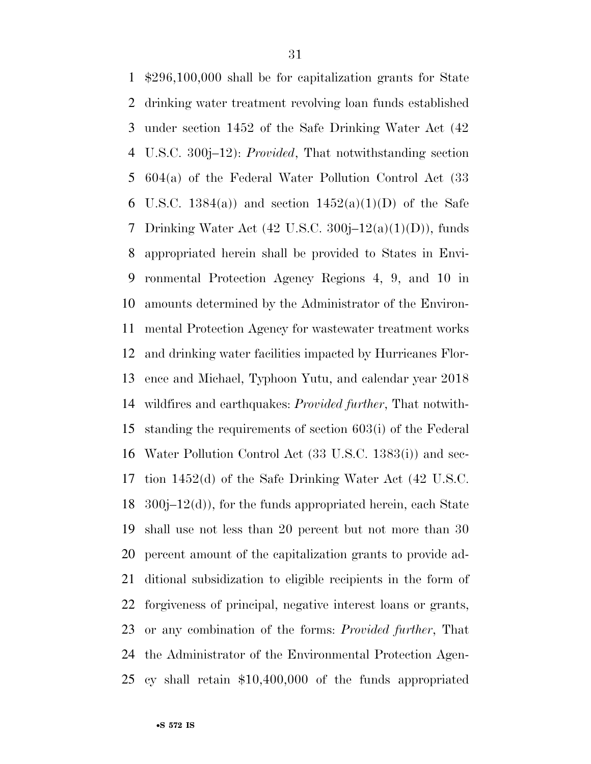\$296,100,000 shall be for capitalization grants for State drinking water treatment revolving loan funds established under section 1452 of the Safe Drinking Water Act (42 U.S.C. 300j–12): *Provided*, That notwithstanding section 604(a) of the Federal Water Pollution Control Act (33 6 U.S.C. 1384(a)) and section  $1452(a)(1)(D)$  of the Safe 7 Drinking Water Act  $(42 \text{ U.S.C. } 300\text{i} - 12(a)(1)(D))$ , funds appropriated herein shall be provided to States in Envi- ronmental Protection Agency Regions 4, 9, and 10 in amounts determined by the Administrator of the Environ- mental Protection Agency for wastewater treatment works and drinking water facilities impacted by Hurricanes Flor- ence and Michael, Typhoon Yutu, and calendar year 2018 wildfires and earthquakes: *Provided further*, That notwith- standing the requirements of section 603(i) of the Federal Water Pollution Control Act (33 U.S.C. 1383(i)) and sec- tion 1452(d) of the Safe Drinking Water Act (42 U.S.C.  $300j-12(d)$ , for the funds appropriated herein, each State shall use not less than 20 percent but not more than 30 percent amount of the capitalization grants to provide ad- ditional subsidization to eligible recipients in the form of forgiveness of principal, negative interest loans or grants, or any combination of the forms: *Provided further*, That the Administrator of the Environmental Protection Agen-cy shall retain \$10,400,000 of the funds appropriated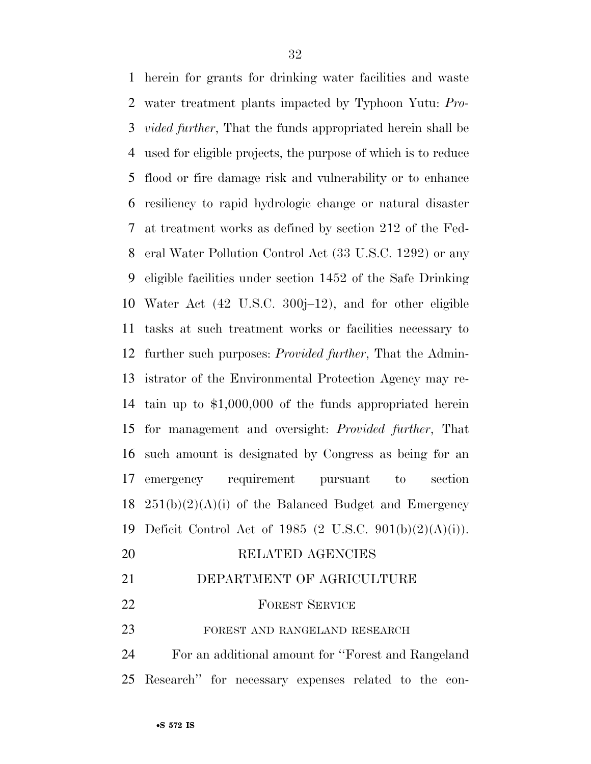herein for grants for drinking water facilities and waste water treatment plants impacted by Typhoon Yutu: *Pro- vided further*, That the funds appropriated herein shall be used for eligible projects, the purpose of which is to reduce flood or fire damage risk and vulnerability or to enhance resiliency to rapid hydrologic change or natural disaster at treatment works as defined by section 212 of the Fed- eral Water Pollution Control Act (33 U.S.C. 1292) or any eligible facilities under section 1452 of the Safe Drinking Water Act (42 U.S.C. 300j–12), and for other eligible tasks at such treatment works or facilities necessary to further such purposes: *Provided further*, That the Admin- istrator of the Environmental Protection Agency may re- tain up to \$1,000,000 of the funds appropriated herein for management and oversight: *Provided further*, That such amount is designated by Congress as being for an emergency requirement pursuant to section  $251(b)(2)(A)(i)$  of the Balanced Budget and Emergency Deficit Control Act of 1985 (2 U.S.C. 901(b)(2)(A)(i)). RELATED AGENCIES DEPARTMENT OF AGRICULTURE

22 FOREST SERVICE

23 FOREST AND RANGELAND RESEARCH

 For an additional amount for ''Forest and Rangeland Research'' for necessary expenses related to the con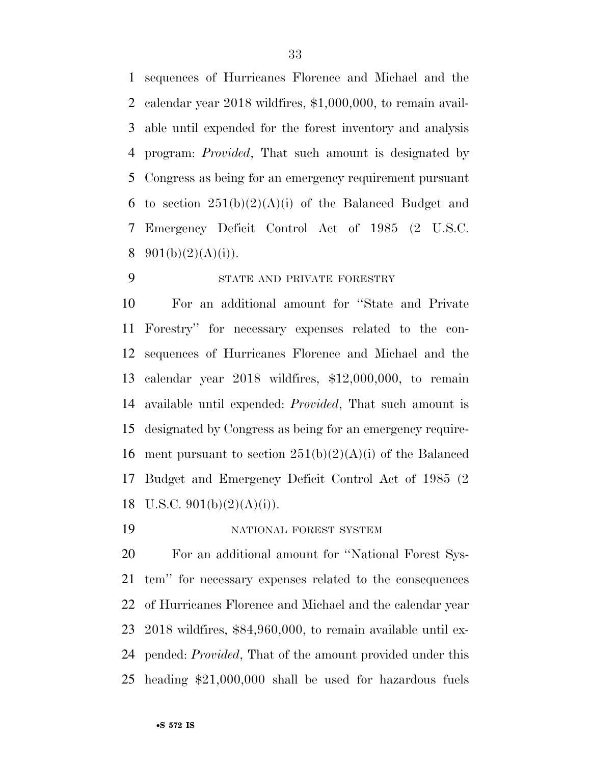sequences of Hurricanes Florence and Michael and the calendar year 2018 wildfires, \$1,000,000, to remain avail- able until expended for the forest inventory and analysis program: *Provided*, That such amount is designated by Congress as being for an emergency requirement pursuant 6 to section  $251(b)(2)(A)(i)$  of the Balanced Budget and Emergency Deficit Control Act of 1985 (2 U.S.C.  $901(b)(2)(A)(i)$ .

## STATE AND PRIVATE FORESTRY

 For an additional amount for ''State and Private Forestry'' for necessary expenses related to the con- sequences of Hurricanes Florence and Michael and the calendar year 2018 wildfires, \$12,000,000, to remain available until expended: *Provided*, That such amount is designated by Congress as being for an emergency require-16 ment pursuant to section  $251(b)(2)(A)(i)$  of the Balanced Budget and Emergency Deficit Control Act of 1985 (2 18 U.S.C.  $901(b)(2)(A)(i)$ .

NATIONAL FOREST SYSTEM

 For an additional amount for ''National Forest Sys- tem'' for necessary expenses related to the consequences of Hurricanes Florence and Michael and the calendar year 2018 wildfires, \$84,960,000, to remain available until ex- pended: *Provided*, That of the amount provided under this heading \$21,000,000 shall be used for hazardous fuels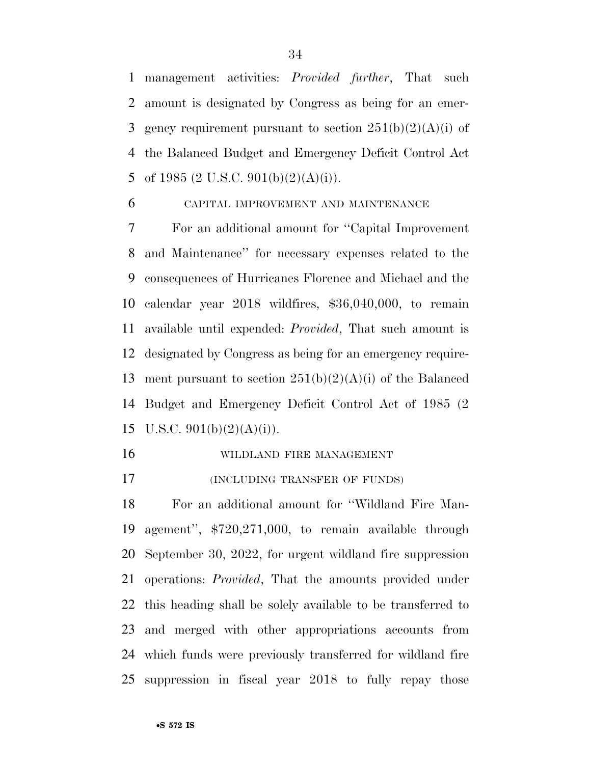management activities: *Provided further*, That such amount is designated by Congress as being for an emer-3 gency requirement pursuant to section  $251(b)(2)(A)(i)$  of the Balanced Budget and Emergency Deficit Control Act 5 of 1985 (2 U.S.C. 901(b)(2)(A)(i)).

#### CAPITAL IMPROVEMENT AND MAINTENANCE

 For an additional amount for ''Capital Improvement and Maintenance'' for necessary expenses related to the consequences of Hurricanes Florence and Michael and the calendar year 2018 wildfires, \$36,040,000, to remain available until expended: *Provided*, That such amount is designated by Congress as being for an emergency require-13 ment pursuant to section  $251(b)(2)(A)(i)$  of the Balanced Budget and Emergency Deficit Control Act of 1985 (2 15 U.S.C.  $901(b)(2)(A)(i)$ .

- WILDLAND FIRE MANAGEMENT
- (INCLUDING TRANSFER OF FUNDS)

 For an additional amount for ''Wildland Fire Man- agement'', \$720,271,000, to remain available through September 30, 2022, for urgent wildland fire suppression operations: *Provided*, That the amounts provided under this heading shall be solely available to be transferred to and merged with other appropriations accounts from which funds were previously transferred for wildland fire suppression in fiscal year 2018 to fully repay those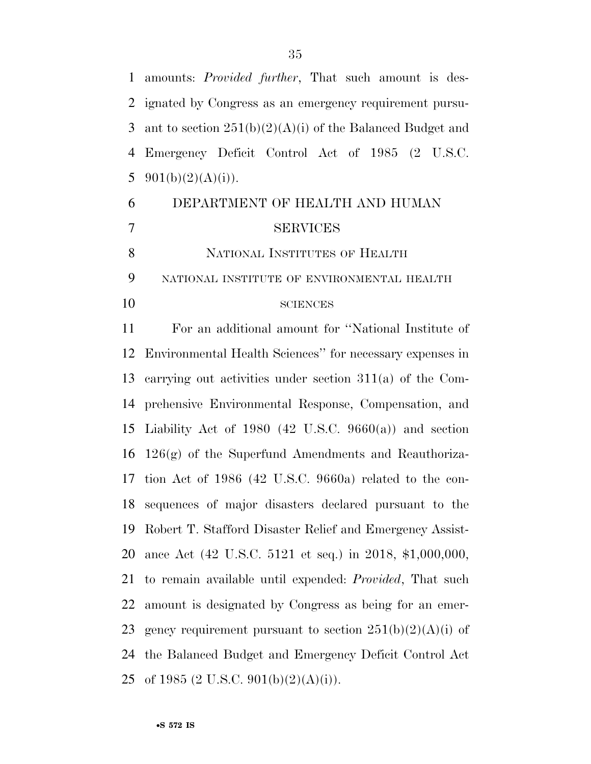amounts: *Provided further*, That such amount is des-

 ignated by Congress as an emergency requirement pursu-3 ant to section  $251(b)(2)(A)(i)$  of the Balanced Budget and Emergency Deficit Control Act of 1985 (2 U.S.C.  $901(b)(2)(A)(i)$ . DEPARTMENT OF HEALTH AND HUMAN SERVICES 8 NATIONAL INSTITUTES OF HEALTH NATIONAL INSTITUTE OF ENVIRONMENTAL HEALTH SCIENCES For an additional amount for ''National Institute of Environmental Health Sciences'' for necessary expenses in carrying out activities under section 311(a) of the Com- prehensive Environmental Response, Compensation, and Liability Act of 1980 (42 U.S.C. 9660(a)) and section 126(g) of the Superfund Amendments and Reauthoriza- tion Act of 1986 (42 U.S.C. 9660a) related to the con- sequences of major disasters declared pursuant to the Robert T. Stafford Disaster Relief and Emergency Assist-ance Act (42 U.S.C. 5121 et seq.) in 2018, \$1,000,000,

 to remain available until expended: *Provided*, That such amount is designated by Congress as being for an emer-23 gency requirement pursuant to section  $251(b)(2)(A)(i)$  of the Balanced Budget and Emergency Deficit Control Act 25 of 1985 (2 U.S.C. 901(b)(2)(A)(i)).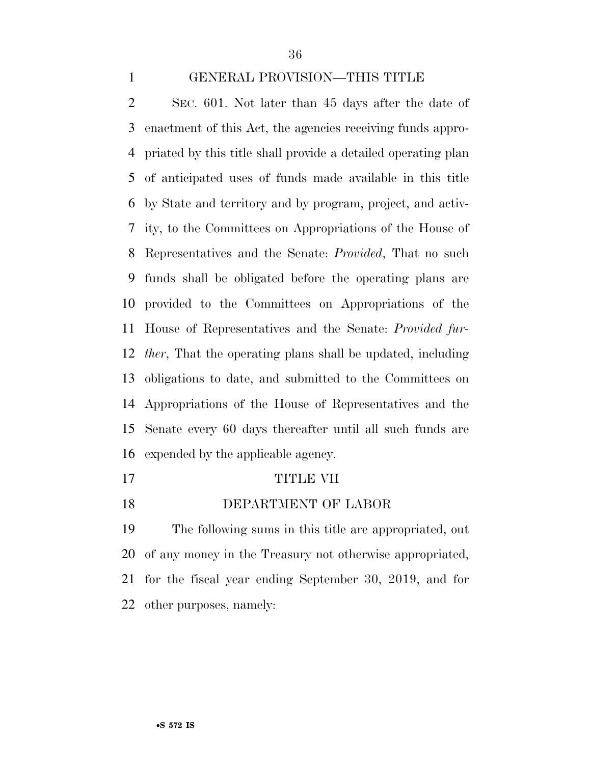#### GENERAL PROVISION—THIS TITLE

 SEC. 601. Not later than 45 days after the date of enactment of this Act, the agencies receiving funds appro- priated by this title shall provide a detailed operating plan of anticipated uses of funds made available in this title by State and territory and by program, project, and activ- ity, to the Committees on Appropriations of the House of Representatives and the Senate: *Provided*, That no such funds shall be obligated before the operating plans are provided to the Committees on Appropriations of the House of Representatives and the Senate: *Provided fur- ther*, That the operating plans shall be updated, including obligations to date, and submitted to the Committees on Appropriations of the House of Representatives and the Senate every 60 days thereafter until all such funds are expended by the applicable agency.

- TITLE VII
- DEPARTMENT OF LABOR

 The following sums in this title are appropriated, out of any money in the Treasury not otherwise appropriated, for the fiscal year ending September 30, 2019, and for other purposes, namely: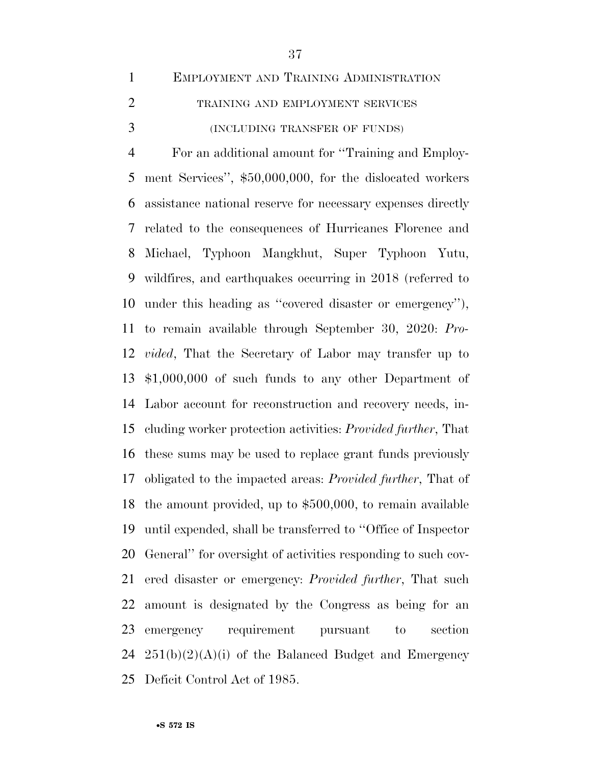EMPLOYMENT AND TRAINING ADMINISTRATION 2 TRAINING AND EMPLOYMENT SERVICES (INCLUDING TRANSFER OF FUNDS) For an additional amount for ''Training and Employ- ment Services'', \$50,000,000, for the dislocated workers assistance national reserve for necessary expenses directly related to the consequences of Hurricanes Florence and Michael, Typhoon Mangkhut, Super Typhoon Yutu, wildfires, and earthquakes occurring in 2018 (referred to under this heading as ''covered disaster or emergency''), to remain available through September 30, 2020: *Pro- vided*, That the Secretary of Labor may transfer up to \$1,000,000 of such funds to any other Department of Labor account for reconstruction and recovery needs, in- cluding worker protection activities: *Provided further*, That these sums may be used to replace grant funds previously obligated to the impacted areas: *Provided further*, That of the amount provided, up to \$500,000, to remain available until expended, shall be transferred to ''Office of Inspector General'' for oversight of activities responding to such cov- ered disaster or emergency: *Provided further*, That such amount is designated by the Congress as being for an emergency requirement pursuant to section  $251(b)(2)(A)(i)$  of the Balanced Budget and Emergency Deficit Control Act of 1985.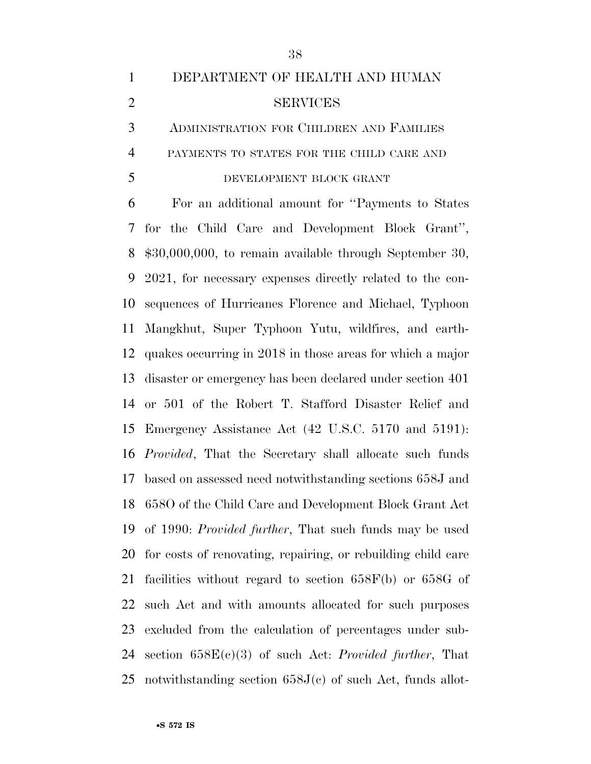## DEPARTMENT OF HEALTH AND HUMAN SERVICES ADMINISTRATION FOR CHILDREN AND FAMILIES PAYMENTS TO STATES FOR THE CHILD CARE AND

#### DEVELOPMENT BLOCK GRANT

 For an additional amount for ''Payments to States for the Child Care and Development Block Grant'', \$30,000,000, to remain available through September 30, 2021, for necessary expenses directly related to the con- sequences of Hurricanes Florence and Michael, Typhoon Mangkhut, Super Typhoon Yutu, wildfires, and earth- quakes occurring in 2018 in those areas for which a major disaster or emergency has been declared under section 401 or 501 of the Robert T. Stafford Disaster Relief and Emergency Assistance Act (42 U.S.C. 5170 and 5191): *Provided*, That the Secretary shall allocate such funds based on assessed need notwithstanding sections 658J and 658O of the Child Care and Development Block Grant Act of 1990: *Provided further*, That such funds may be used for costs of renovating, repairing, or rebuilding child care facilities without regard to section 658F(b) or 658G of such Act and with amounts allocated for such purposes excluded from the calculation of percentages under sub- section 658E(c)(3) of such Act: *Provided further*, That 25 notwithstanding section  $658J(c)$  of such Act, funds allot-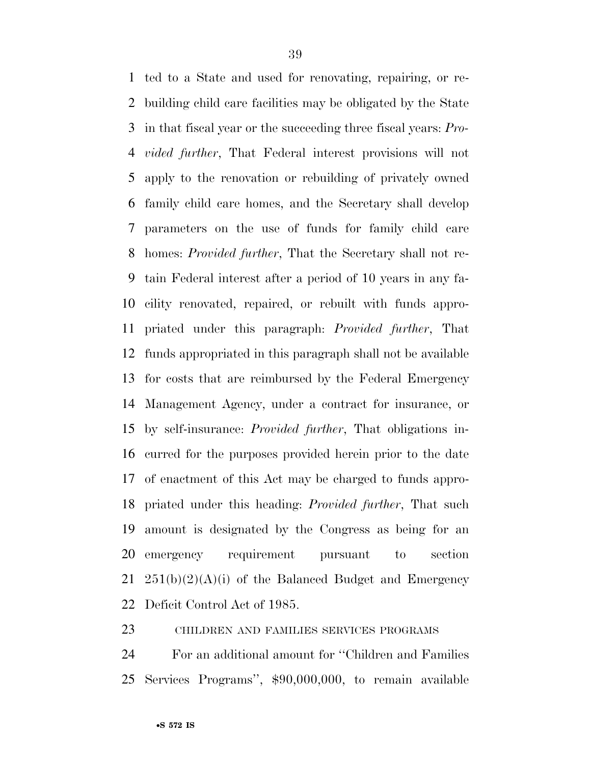ted to a State and used for renovating, repairing, or re- building child care facilities may be obligated by the State in that fiscal year or the succeeding three fiscal years: *Pro- vided further*, That Federal interest provisions will not apply to the renovation or rebuilding of privately owned family child care homes, and the Secretary shall develop parameters on the use of funds for family child care homes: *Provided further*, That the Secretary shall not re- tain Federal interest after a period of 10 years in any fa- cility renovated, repaired, or rebuilt with funds appro- priated under this paragraph: *Provided further*, That funds appropriated in this paragraph shall not be available for costs that are reimbursed by the Federal Emergency Management Agency, under a contract for insurance, or by self-insurance: *Provided further*, That obligations in- curred for the purposes provided herein prior to the date of enactment of this Act may be charged to funds appro- priated under this heading: *Provided further*, That such amount is designated by the Congress as being for an emergency requirement pursuant to section  $251(b)(2)(A)(i)$  of the Balanced Budget and Emergency Deficit Control Act of 1985.

CHILDREN AND FAMILIES SERVICES PROGRAMS

 For an additional amount for ''Children and Families Services Programs'', \$90,000,000, to remain available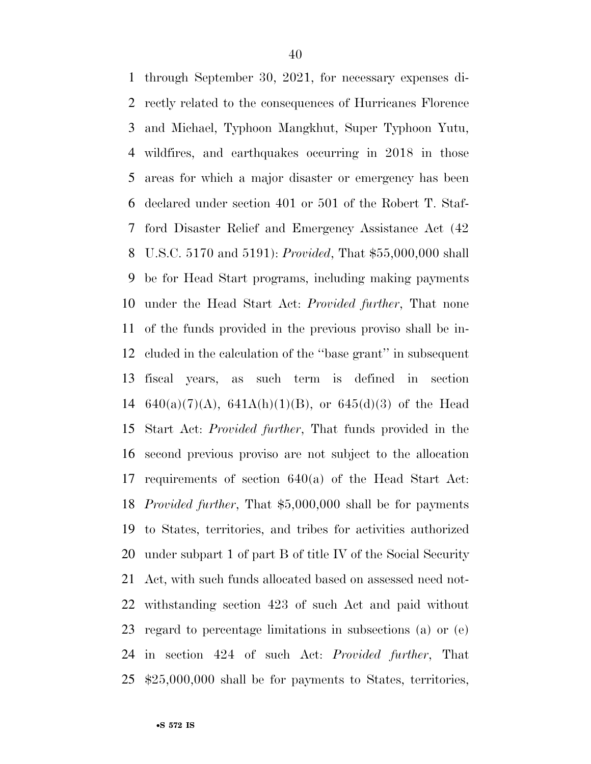through September 30, 2021, for necessary expenses di- rectly related to the consequences of Hurricanes Florence and Michael, Typhoon Mangkhut, Super Typhoon Yutu, wildfires, and earthquakes occurring in 2018 in those areas for which a major disaster or emergency has been declared under section 401 or 501 of the Robert T. Staf- ford Disaster Relief and Emergency Assistance Act (42 U.S.C. 5170 and 5191): *Provided*, That \$55,000,000 shall be for Head Start programs, including making payments under the Head Start Act: *Provided further*, That none of the funds provided in the previous proviso shall be in- cluded in the calculation of the ''base grant'' in subsequent fiscal years, as such term is defined in section 14 640(a)(7)(A), 641A(h)(1)(B), or 645(d)(3) of the Head Start Act: *Provided further*, That funds provided in the second previous proviso are not subject to the allocation requirements of section 640(a) of the Head Start Act: *Provided further*, That \$5,000,000 shall be for payments to States, territories, and tribes for activities authorized under subpart 1 of part B of title IV of the Social Security Act, with such funds allocated based on assessed need not- withstanding section 423 of such Act and paid without regard to percentage limitations in subsections (a) or (e) in section 424 of such Act: *Provided further*, That \$25,000,000 shall be for payments to States, territories,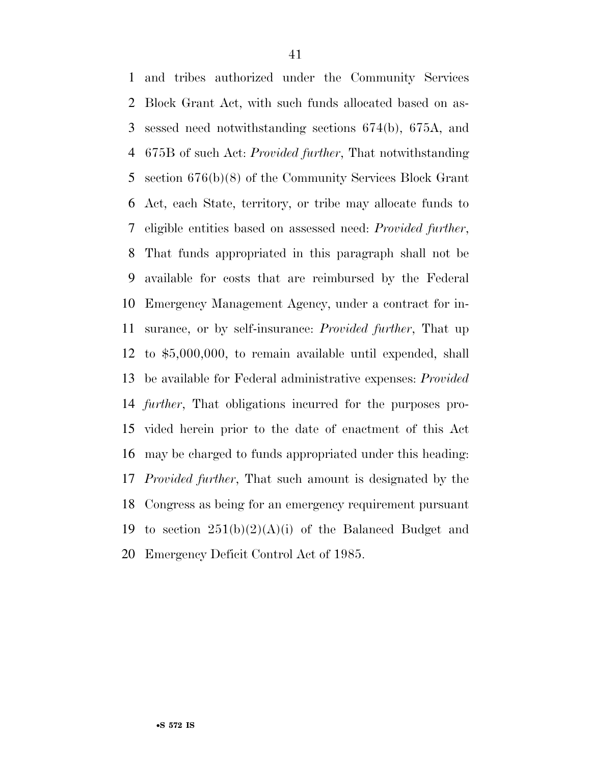and tribes authorized under the Community Services Block Grant Act, with such funds allocated based on as- sessed need notwithstanding sections 674(b), 675A, and 675B of such Act: *Provided further*, That notwithstanding section 676(b)(8) of the Community Services Block Grant Act, each State, territory, or tribe may allocate funds to eligible entities based on assessed need: *Provided further*, That funds appropriated in this paragraph shall not be available for costs that are reimbursed by the Federal Emergency Management Agency, under a contract for in- surance, or by self-insurance: *Provided further*, That up to \$5,000,000, to remain available until expended, shall be available for Federal administrative expenses: *Provided further*, That obligations incurred for the purposes pro- vided herein prior to the date of enactment of this Act may be charged to funds appropriated under this heading: *Provided further*, That such amount is designated by the Congress as being for an emergency requirement pursuant 19 to section  $251(b)(2)(A)(i)$  of the Balanced Budget and Emergency Deficit Control Act of 1985.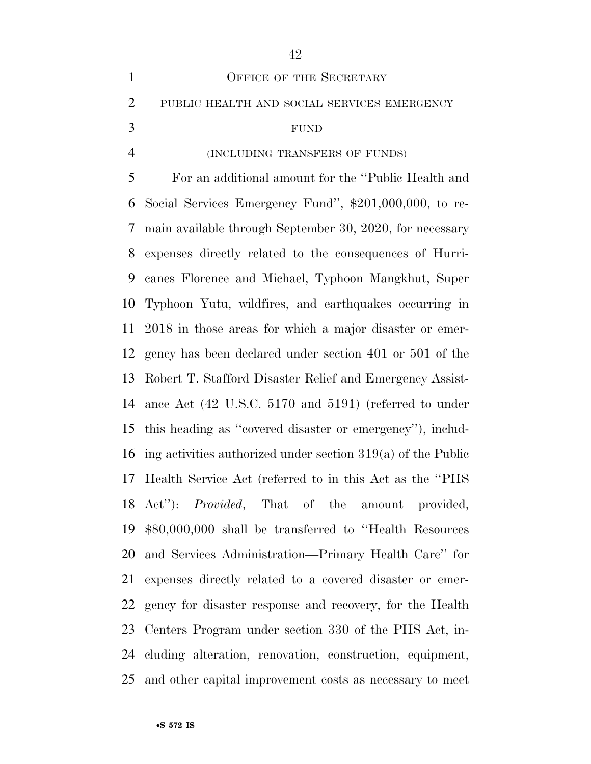| $\mathbf{1}$   | OFFICE OF THE SECRETARY                                                   |
|----------------|---------------------------------------------------------------------------|
| $\overline{2}$ | PUBLIC HEALTH AND SOCIAL SERVICES EMERGENCY                               |
| 3              | <b>FUND</b>                                                               |
| $\overline{4}$ | (INCLUDING TRANSFERS OF FUNDS)                                            |
| 5              | For an additional amount for the "Public Health and                       |
| 6              | Social Services Emergency Fund", \$201,000,000, to re-                    |
| 7              | main available through September 30, 2020, for necessary                  |
| 8              | expenses directly related to the consequences of Hurri-                   |
| 9              | canes Florence and Michael, Typhoon Mangkhut, Super                       |
| 10             | Typhoon Yutu, wildfires, and earthquakes occurring in                     |
| 11             | 2018 in those areas for which a major disaster or emer-                   |
| 12             | gency has been declared under section 401 or 501 of the                   |
| 13             | Robert T. Stafford Disaster Relief and Emergency Assist-                  |
| 14             | ance Act $(42 \text{ U.S.C. } 5170 \text{ and } 5191)$ (referred to under |
| 15             | this heading as "covered disaster or emergency"), includ-                 |
| 16             | ing activities authorized under section $319(a)$ of the Public            |
| 17             | Health Service Act (referred to in this Act as the "PHS"                  |
|                | 18 Act": <i>Provided</i> , That of the amount provided,                   |
|                | 19 \$80,000,000 shall be transferred to "Health Resources"                |
|                | 20 and Services Administration—Primary Health Care" for                   |
| 21             | expenses directly related to a covered disaster or emer-                  |
| 22             | gency for disaster response and recovery, for the Health                  |
| 23             | Centers Program under section 330 of the PHS Act, in-                     |
| 24             | cluding alteration, renovation, construction, equipment,                  |
|                | 25 and other capital improvement costs as necessary to meet               |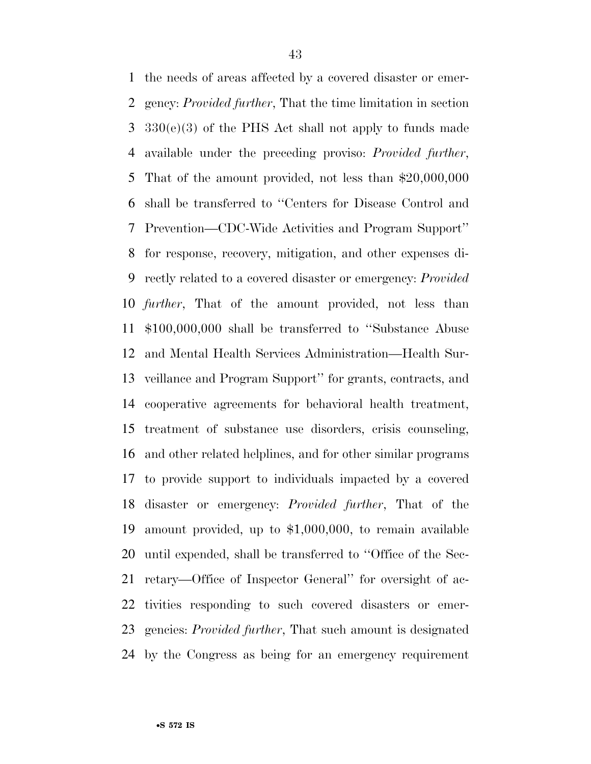the needs of areas affected by a covered disaster or emer- gency: *Provided further*, That the time limitation in section 330(e)(3) of the PHS Act shall not apply to funds made available under the preceding proviso: *Provided further*, That of the amount provided, not less than \$20,000,000 shall be transferred to ''Centers for Disease Control and Prevention—CDC-Wide Activities and Program Support'' for response, recovery, mitigation, and other expenses di- rectly related to a covered disaster or emergency: *Provided further*, That of the amount provided, not less than \$100,000,000 shall be transferred to ''Substance Abuse and Mental Health Services Administration—Health Sur- veillance and Program Support'' for grants, contracts, and cooperative agreements for behavioral health treatment, treatment of substance use disorders, crisis counseling, and other related helplines, and for other similar programs to provide support to individuals impacted by a covered disaster or emergency: *Provided further*, That of the amount provided, up to \$1,000,000, to remain available until expended, shall be transferred to ''Office of the Sec- retary—Office of Inspector General'' for oversight of ac- tivities responding to such covered disasters or emer- gencies: *Provided further*, That such amount is designated by the Congress as being for an emergency requirement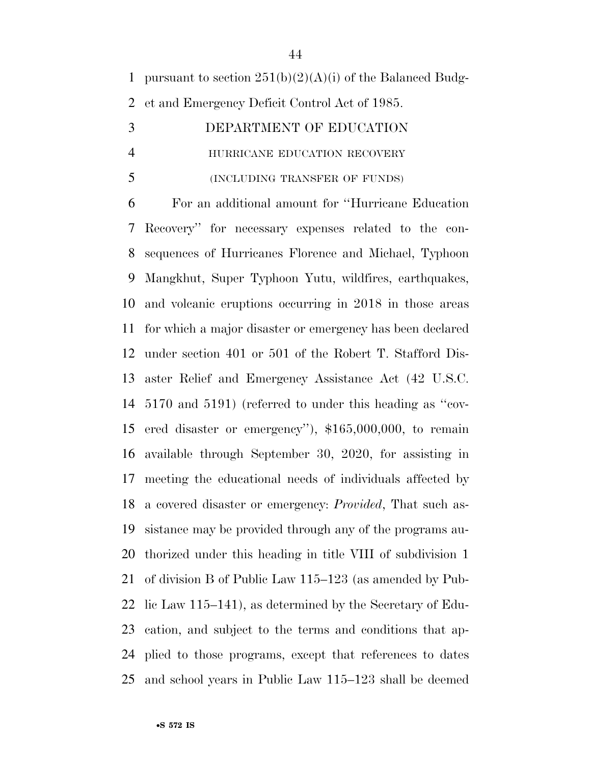1 pursuant to section  $251(b)(2)(A)(i)$  of the Balanced Budg-et and Emergency Deficit Control Act of 1985.

| 3 | DEPARTMENT OF EDUCATION       |
|---|-------------------------------|
| 4 | HURRICANE EDUCATION RECOVERY  |
| 5 | (INCLUDING TRANSFER OF FUNDS) |

 For an additional amount for ''Hurricane Education Recovery'' for necessary expenses related to the con- sequences of Hurricanes Florence and Michael, Typhoon Mangkhut, Super Typhoon Yutu, wildfires, earthquakes, and volcanic eruptions occurring in 2018 in those areas for which a major disaster or emergency has been declared under section 401 or 501 of the Robert T. Stafford Dis- aster Relief and Emergency Assistance Act (42 U.S.C. 5170 and 5191) (referred to under this heading as ''cov- ered disaster or emergency''), \$165,000,000, to remain available through September 30, 2020, for assisting in meeting the educational needs of individuals affected by a covered disaster or emergency: *Provided*, That such as- sistance may be provided through any of the programs au- thorized under this heading in title VIII of subdivision 1 of division B of Public Law 115–123 (as amended by Pub- lic Law 115–141), as determined by the Secretary of Edu- cation, and subject to the terms and conditions that ap- plied to those programs, except that references to dates and school years in Public Law 115–123 shall be deemed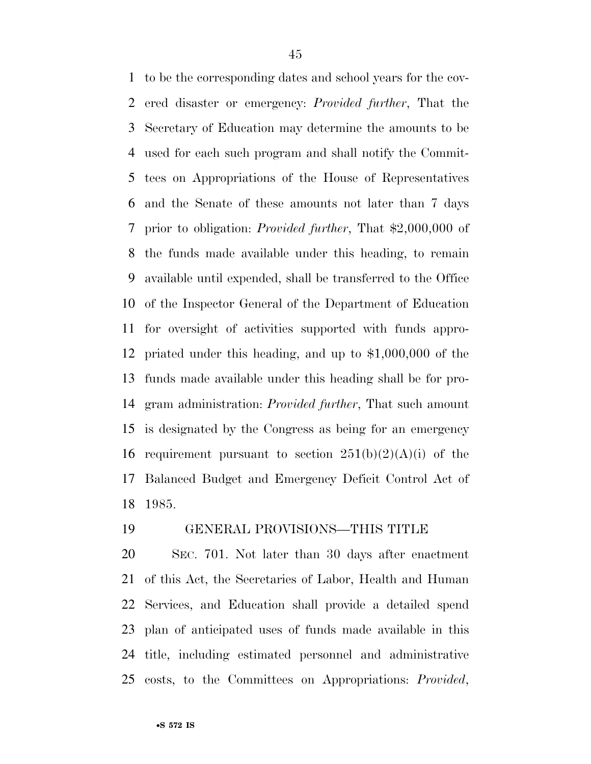to be the corresponding dates and school years for the cov- ered disaster or emergency: *Provided further*, That the Secretary of Education may determine the amounts to be used for each such program and shall notify the Commit- tees on Appropriations of the House of Representatives and the Senate of these amounts not later than 7 days prior to obligation: *Provided further*, That \$2,000,000 of the funds made available under this heading, to remain available until expended, shall be transferred to the Office of the Inspector General of the Department of Education for oversight of activities supported with funds appro- priated under this heading, and up to \$1,000,000 of the funds made available under this heading shall be for pro- gram administration: *Provided further*, That such amount is designated by the Congress as being for an emergency 16 requirement pursuant to section  $251(b)(2)(A)(i)$  of the Balanced Budget and Emergency Deficit Control Act of 1985.

### GENERAL PROVISIONS—THIS TITLE

 SEC. 701. Not later than 30 days after enactment of this Act, the Secretaries of Labor, Health and Human Services, and Education shall provide a detailed spend plan of anticipated uses of funds made available in this title, including estimated personnel and administrative costs, to the Committees on Appropriations: *Provided*,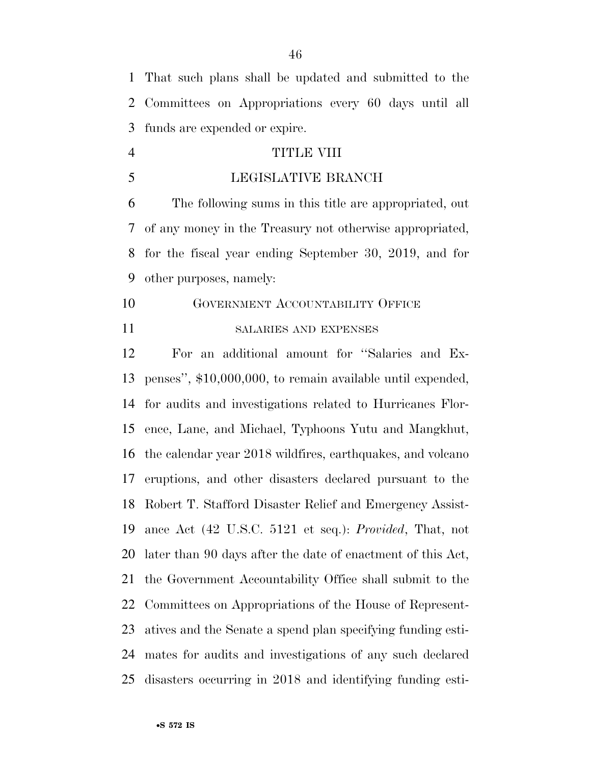That such plans shall be updated and submitted to the Committees on Appropriations every 60 days until all funds are expended or expire.

- TITLE VIII
- LEGISLATIVE BRANCH

 The following sums in this title are appropriated, out of any money in the Treasury not otherwise appropriated, for the fiscal year ending September 30, 2019, and for other purposes, namely:

 GOVERNMENT ACCOUNTABILITY OFFICE SALARIES AND EXPENSES

 For an additional amount for ''Salaries and Ex- penses'', \$10,000,000, to remain available until expended, for audits and investigations related to Hurricanes Flor- ence, Lane, and Michael, Typhoons Yutu and Mangkhut, the calendar year 2018 wildfires, earthquakes, and volcano eruptions, and other disasters declared pursuant to the Robert T. Stafford Disaster Relief and Emergency Assist- ance Act (42 U.S.C. 5121 et seq.): *Provided*, That, not later than 90 days after the date of enactment of this Act, the Government Accountability Office shall submit to the Committees on Appropriations of the House of Represent- atives and the Senate a spend plan specifying funding esti- mates for audits and investigations of any such declared disasters occurring in 2018 and identifying funding esti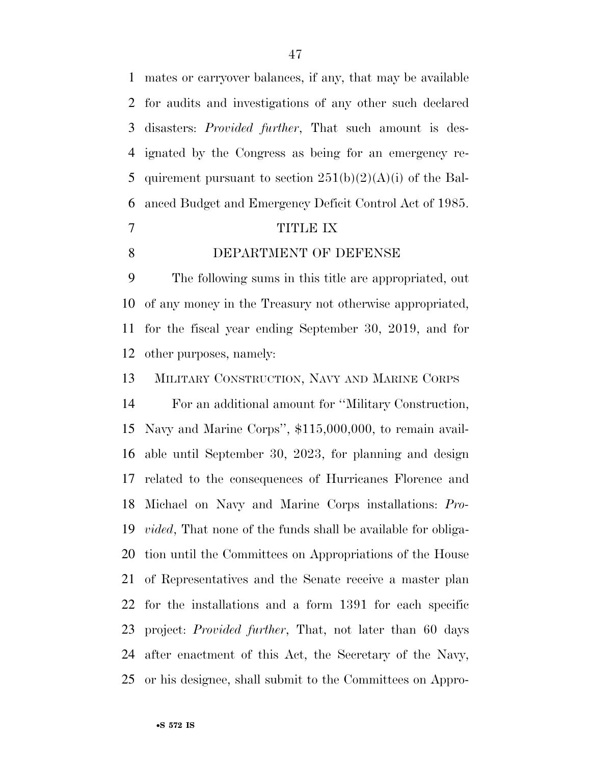mates or carryover balances, if any, that may be available for audits and investigations of any other such declared disasters: *Provided further*, That such amount is des- ignated by the Congress as being for an emergency re-5 quirement pursuant to section  $251(b)(2)(A)(i)$  of the Bal-anced Budget and Emergency Deficit Control Act of 1985.

#### TITLE IX

DEPARTMENT OF DEFENSE

 The following sums in this title are appropriated, out of any money in the Treasury not otherwise appropriated, for the fiscal year ending September 30, 2019, and for other purposes, namely:

MILITARY CONSTRUCTION, NAVY AND MARINE CORPS

 For an additional amount for ''Military Construction, Navy and Marine Corps'', \$115,000,000, to remain avail- able until September 30, 2023, for planning and design related to the consequences of Hurricanes Florence and Michael on Navy and Marine Corps installations: *Pro- vided*, That none of the funds shall be available for obliga- tion until the Committees on Appropriations of the House of Representatives and the Senate receive a master plan for the installations and a form 1391 for each specific project: *Provided further*, That, not later than 60 days after enactment of this Act, the Secretary of the Navy, or his designee, shall submit to the Committees on Appro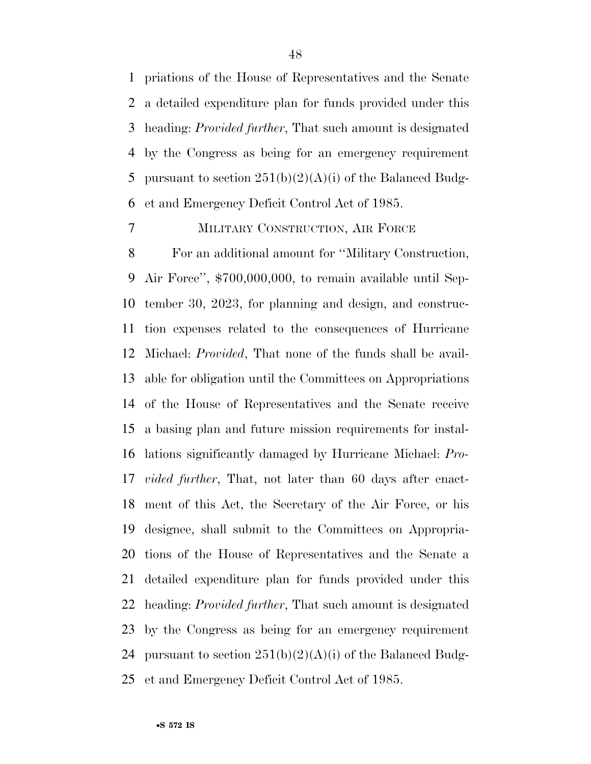priations of the House of Representatives and the Senate a detailed expenditure plan for funds provided under this heading: *Provided further*, That such amount is designated by the Congress as being for an emergency requirement 5 pursuant to section  $251(b)(2)(A)(i)$  of the Balanced Budg-et and Emergency Deficit Control Act of 1985.

### MILITARY CONSTRUCTION, AIR FORCE

 For an additional amount for ''Military Construction, Air Force'', \$700,000,000, to remain available until Sep- tember 30, 2023, for planning and design, and construc- tion expenses related to the consequences of Hurricane Michael: *Provided*, That none of the funds shall be avail- able for obligation until the Committees on Appropriations of the House of Representatives and the Senate receive a basing plan and future mission requirements for instal- lations significantly damaged by Hurricane Michael: *Pro- vided further*, That, not later than 60 days after enact- ment of this Act, the Secretary of the Air Force, or his designee, shall submit to the Committees on Appropria- tions of the House of Representatives and the Senate a detailed expenditure plan for funds provided under this heading: *Provided further*, That such amount is designated by the Congress as being for an emergency requirement 24 pursuant to section  $251(b)(2)(A)(i)$  of the Balanced Budg-et and Emergency Deficit Control Act of 1985.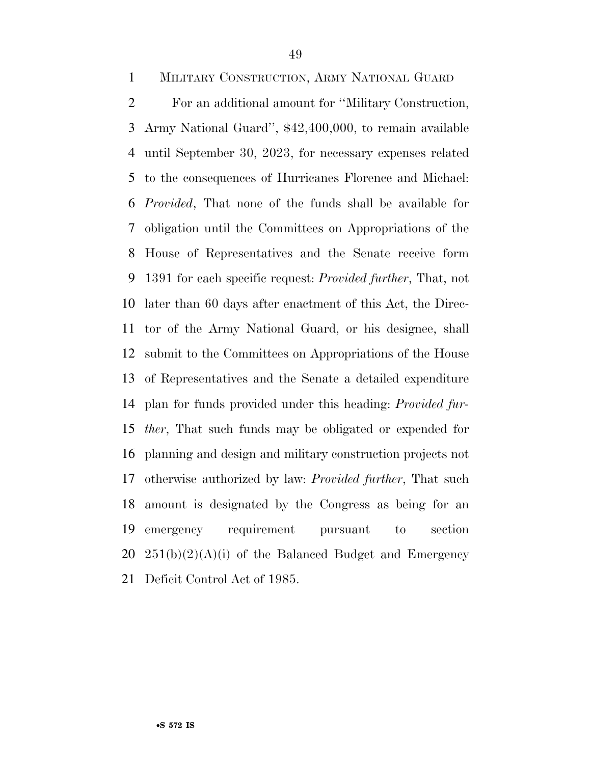MILITARY CONSTRUCTION, ARMY NATIONAL GUARD

 For an additional amount for ''Military Construction, Army National Guard'', \$42,400,000, to remain available until September 30, 2023, for necessary expenses related to the consequences of Hurricanes Florence and Michael: *Provided*, That none of the funds shall be available for obligation until the Committees on Appropriations of the House of Representatives and the Senate receive form 1391 for each specific request: *Provided further*, That, not later than 60 days after enactment of this Act, the Direc- tor of the Army National Guard, or his designee, shall submit to the Committees on Appropriations of the House of Representatives and the Senate a detailed expenditure plan for funds provided under this heading: *Provided fur- ther*, That such funds may be obligated or expended for planning and design and military construction projects not otherwise authorized by law: *Provided further*, That such amount is designated by the Congress as being for an emergency requirement pursuant to section  $20\quad 251(b)(2)(A)(i)$  of the Balanced Budget and Emergency Deficit Control Act of 1985.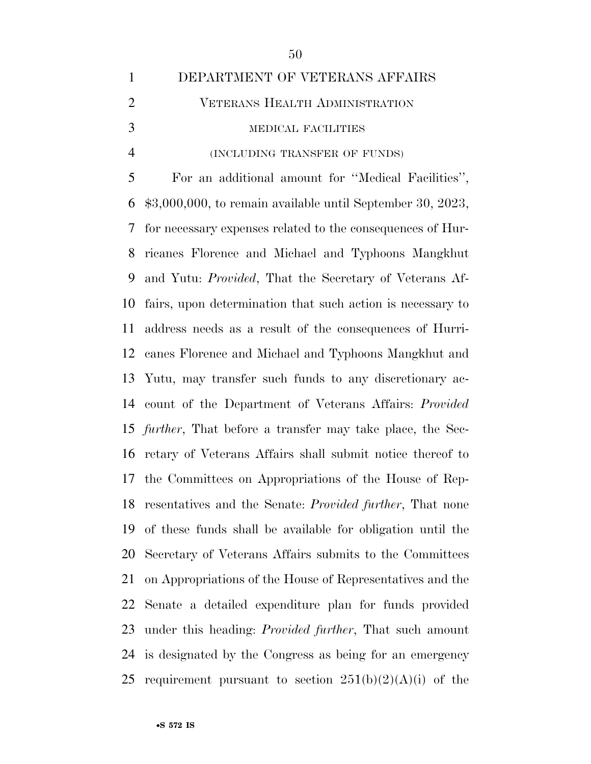| $\mathbf{1}$   | DEPARTMENT OF VETERANS AFFAIRS                                      |
|----------------|---------------------------------------------------------------------|
| $\overline{2}$ | <b>VETERANS HEALTH ADMINISTRATION</b>                               |
| 3              | MEDICAL FACILITIES                                                  |
| $\overline{4}$ | (INCLUDING TRANSFER OF FUNDS)                                       |
| 5              | For an additional amount for "Medical Facilities",                  |
| 6              | $$3,000,000$ , to remain available until September 30, 2023,        |
| 7              | for necessary expenses related to the consequences of Hur-          |
| 8              | ricanes Florence and Michael and Typhoons Mangkhut                  |
| 9              | and Yutu: <i>Provided</i> , That the Secretary of Veterans Af-      |
| 10             | fairs, upon determination that such action is necessary to          |
| 11             | address needs as a result of the consequences of Hurri-             |
| 12             | canes Florence and Michael and Typhoons Mangkhut and                |
| 13             | Yutu, may transfer such funds to any discretionary ac-              |
| 14             | count of the Department of Veterans Affairs: Provided               |
|                | 15 <i>further</i> , That before a transfer may take place, the Sec- |
| 16             | retary of Veterans Affairs shall submit notice thereof to           |
| 17             | the Committees on Appropriations of the House of Rep-               |
|                | 18 resentatives and the Senate: <i>Provided further</i> , That none |
| 19             | of these funds shall be available for obligation until the          |
| 20             | Secretary of Veterans Affairs submits to the Committees             |
| 21             | on Appropriations of the House of Representatives and the           |
| 22             | Senate a detailed expenditure plan for funds provided               |
| 23             | under this heading: <i>Provided further</i> , That such amount      |
| 24             | is designated by the Congress as being for an emergency             |
| 25             | requirement pursuant to section $251(b)(2)(A)(i)$ of the            |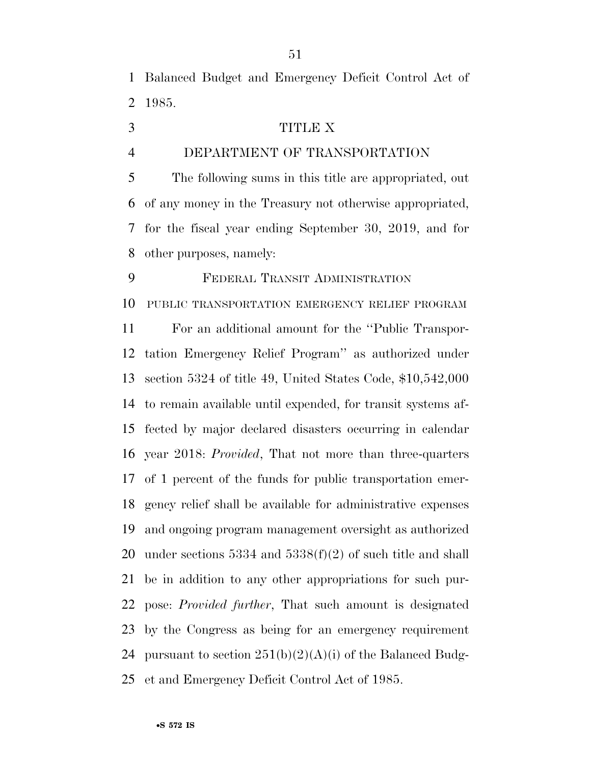Balanced Budget and Emergency Deficit Control Act of 1985.

- TITLE X
- 

## DEPARTMENT OF TRANSPORTATION

 The following sums in this title are appropriated, out of any money in the Treasury not otherwise appropriated, for the fiscal year ending September 30, 2019, and for other purposes, namely:

 FEDERAL TRANSIT ADMINISTRATION PUBLIC TRANSPORTATION EMERGENCY RELIEF PROGRAM For an additional amount for the ''Public Transpor- tation Emergency Relief Program'' as authorized under section 5324 of title 49, United States Code, \$10,542,000 to remain available until expended, for transit systems af- fected by major declared disasters occurring in calendar year 2018: *Provided*, That not more than three-quarters of 1 percent of the funds for public transportation emer- gency relief shall be available for administrative expenses and ongoing program management oversight as authorized under sections 5334 and 5338(f)(2) of such title and shall be in addition to any other appropriations for such pur- pose: *Provided further*, That such amount is designated by the Congress as being for an emergency requirement 24 pursuant to section  $251(b)(2)(A)(i)$  of the Balanced Budg-et and Emergency Deficit Control Act of 1985.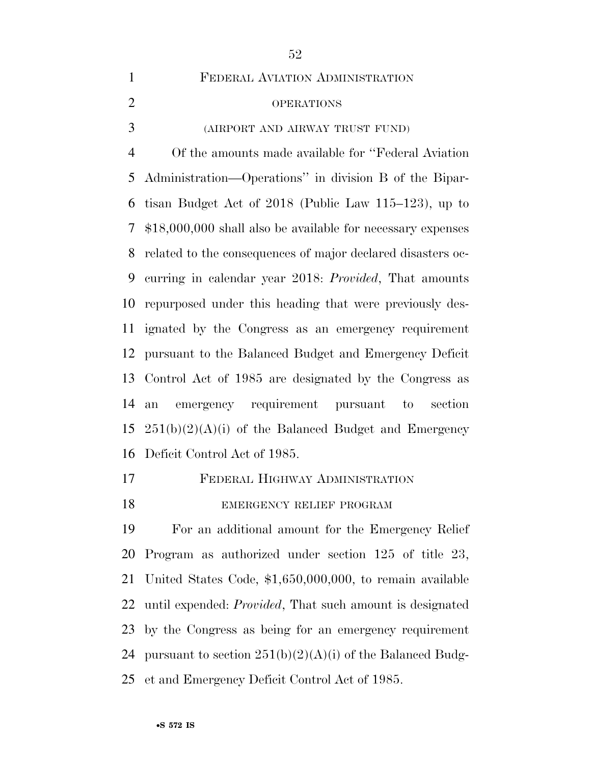FEDERAL AVIATION ADMINISTRATION OPERATIONS (AIRPORT AND AIRWAY TRUST FUND) Of the amounts made available for ''Federal Aviation Administration—Operations'' in division B of the Bipar- tisan Budget Act of 2018 (Public Law 115–123), up to \$18,000,000 shall also be available for necessary expenses related to the consequences of major declared disasters oc- curring in calendar year 2018: *Provided*, That amounts repurposed under this heading that were previously des- ignated by the Congress as an emergency requirement pursuant to the Balanced Budget and Emergency Deficit Control Act of 1985 are designated by the Congress as an emergency requirement pursuant to section  $251(b)(2)(A)(i)$  of the Balanced Budget and Emergency Deficit Control Act of 1985.

FEDERAL HIGHWAY ADMINISTRATION

## 18 EMERGENCY RELIEF PROGRAM

 For an additional amount for the Emergency Relief Program as authorized under section 125 of title 23, United States Code, \$1,650,000,000, to remain available until expended: *Provided*, That such amount is designated by the Congress as being for an emergency requirement 24 pursuant to section  $251(b)(2)(A)(i)$  of the Balanced Budg-et and Emergency Deficit Control Act of 1985.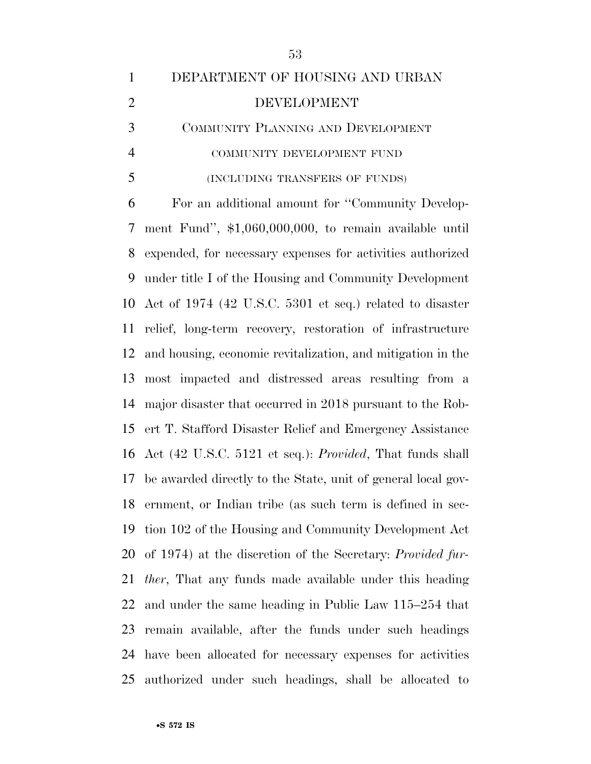## DEPARTMENT OF HOUSING AND URBAN DEVELOPMENT COMMUNITY PLANNING AND DEVELOPMENT COMMUNITY DEVELOPMENT FUND

#### (INCLUDING TRANSFERS OF FUNDS)

 For an additional amount for ''Community Develop- ment Fund'', \$1,060,000,000, to remain available until expended, for necessary expenses for activities authorized under title I of the Housing and Community Development Act of 1974 (42 U.S.C. 5301 et seq.) related to disaster relief, long-term recovery, restoration of infrastructure and housing, economic revitalization, and mitigation in the most impacted and distressed areas resulting from a major disaster that occurred in 2018 pursuant to the Rob- ert T. Stafford Disaster Relief and Emergency Assistance Act (42 U.S.C. 5121 et seq.): *Provided*, That funds shall be awarded directly to the State, unit of general local gov- ernment, or Indian tribe (as such term is defined in sec- tion 102 of the Housing and Community Development Act of 1974) at the discretion of the Secretary: *Provided fur- ther*, That any funds made available under this heading and under the same heading in Public Law 115–254 that remain available, after the funds under such headings have been allocated for necessary expenses for activities authorized under such headings, shall be allocated to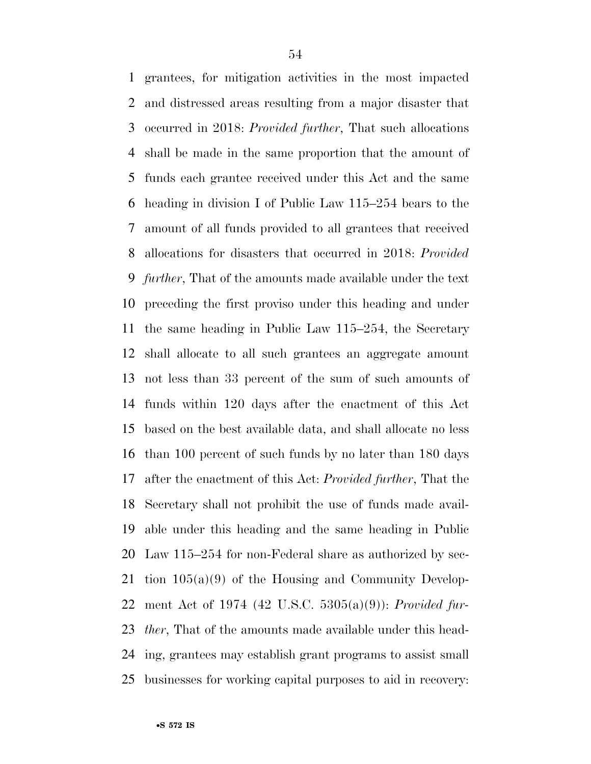grantees, for mitigation activities in the most impacted and distressed areas resulting from a major disaster that occurred in 2018: *Provided further*, That such allocations shall be made in the same proportion that the amount of funds each grantee received under this Act and the same heading in division I of Public Law 115–254 bears to the amount of all funds provided to all grantees that received allocations for disasters that occurred in 2018: *Provided further*, That of the amounts made available under the text preceding the first proviso under this heading and under the same heading in Public Law 115–254, the Secretary shall allocate to all such grantees an aggregate amount not less than 33 percent of the sum of such amounts of funds within 120 days after the enactment of this Act based on the best available data, and shall allocate no less than 100 percent of such funds by no later than 180 days after the enactment of this Act: *Provided further*, That the Secretary shall not prohibit the use of funds made avail- able under this heading and the same heading in Public Law 115–254 for non-Federal share as authorized by sec- tion 105(a)(9) of the Housing and Community Develop- ment Act of 1974 (42 U.S.C. 5305(a)(9)): *Provided fur- ther*, That of the amounts made available under this head- ing, grantees may establish grant programs to assist small businesses for working capital purposes to aid in recovery: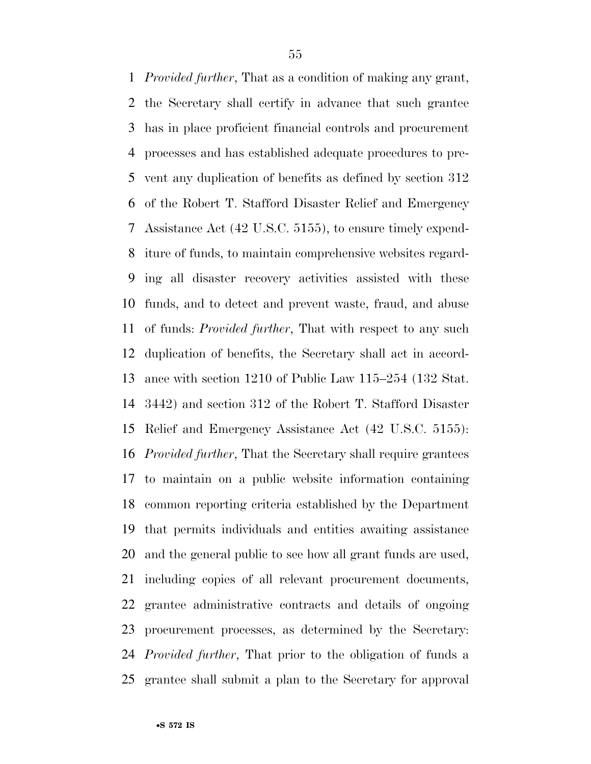*Provided further*, That as a condition of making any grant, the Secretary shall certify in advance that such grantee has in place proficient financial controls and procurement processes and has established adequate procedures to pre- vent any duplication of benefits as defined by section 312 of the Robert T. Stafford Disaster Relief and Emergency Assistance Act (42 U.S.C. 5155), to ensure timely expend- iture of funds, to maintain comprehensive websites regard- ing all disaster recovery activities assisted with these funds, and to detect and prevent waste, fraud, and abuse of funds: *Provided further*, That with respect to any such duplication of benefits, the Secretary shall act in accord- ance with section 1210 of Public Law 115–254 (132 Stat. 3442) and section 312 of the Robert T. Stafford Disaster Relief and Emergency Assistance Act (42 U.S.C. 5155): *Provided further*, That the Secretary shall require grantees to maintain on a public website information containing common reporting criteria established by the Department that permits individuals and entities awaiting assistance and the general public to see how all grant funds are used, including copies of all relevant procurement documents, grantee administrative contracts and details of ongoing procurement processes, as determined by the Secretary: *Provided further*, That prior to the obligation of funds a grantee shall submit a plan to the Secretary for approval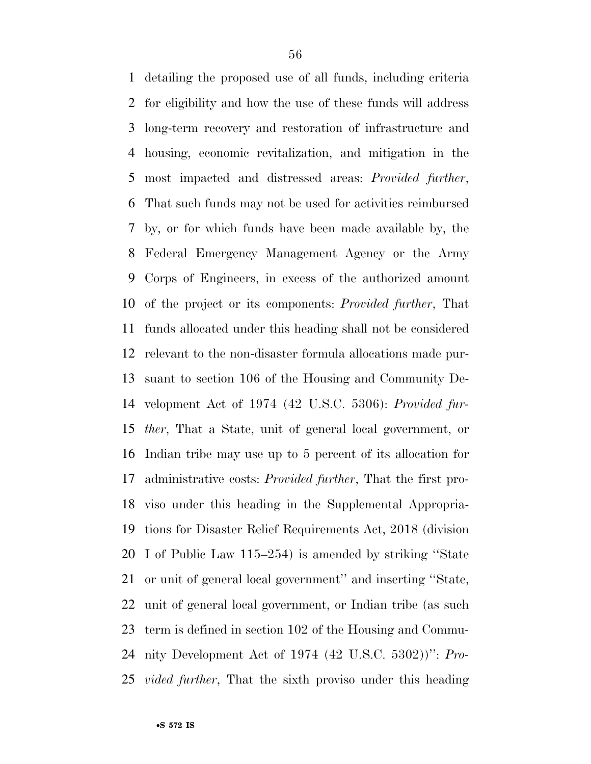detailing the proposed use of all funds, including criteria for eligibility and how the use of these funds will address long-term recovery and restoration of infrastructure and housing, economic revitalization, and mitigation in the most impacted and distressed areas: *Provided further*, That such funds may not be used for activities reimbursed by, or for which funds have been made available by, the Federal Emergency Management Agency or the Army Corps of Engineers, in excess of the authorized amount of the project or its components: *Provided further*, That funds allocated under this heading shall not be considered relevant to the non-disaster formula allocations made pur- suant to section 106 of the Housing and Community De- velopment Act of 1974 (42 U.S.C. 5306): *Provided fur- ther*, That a State, unit of general local government, or Indian tribe may use up to 5 percent of its allocation for administrative costs: *Provided further*, That the first pro- viso under this heading in the Supplemental Appropria- tions for Disaster Relief Requirements Act, 2018 (division I of Public Law 115–254) is amended by striking ''State or unit of general local government'' and inserting ''State, unit of general local government, or Indian tribe (as such term is defined in section 102 of the Housing and Commu- nity Development Act of 1974 (42 U.S.C. 5302))'': *Pro-vided further*, That the sixth proviso under this heading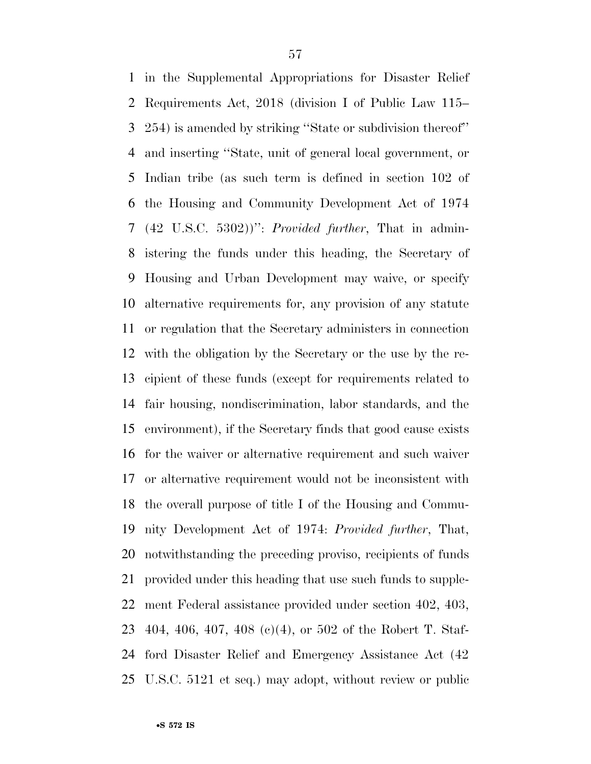in the Supplemental Appropriations for Disaster Relief Requirements Act, 2018 (division I of Public Law 115– 254) is amended by striking ''State or subdivision thereof'' and inserting ''State, unit of general local government, or Indian tribe (as such term is defined in section 102 of the Housing and Community Development Act of 1974 (42 U.S.C. 5302))'': *Provided further*, That in admin- istering the funds under this heading, the Secretary of Housing and Urban Development may waive, or specify alternative requirements for, any provision of any statute or regulation that the Secretary administers in connection with the obligation by the Secretary or the use by the re- cipient of these funds (except for requirements related to fair housing, nondiscrimination, labor standards, and the environment), if the Secretary finds that good cause exists for the waiver or alternative requirement and such waiver or alternative requirement would not be inconsistent with the overall purpose of title I of the Housing and Commu- nity Development Act of 1974: *Provided further*, That, notwithstanding the preceding proviso, recipients of funds provided under this heading that use such funds to supple- ment Federal assistance provided under section 402, 403, 404, 406, 407, 408 (c)(4), or 502 of the Robert T. Staf- ford Disaster Relief and Emergency Assistance Act (42 U.S.C. 5121 et seq.) may adopt, without review or public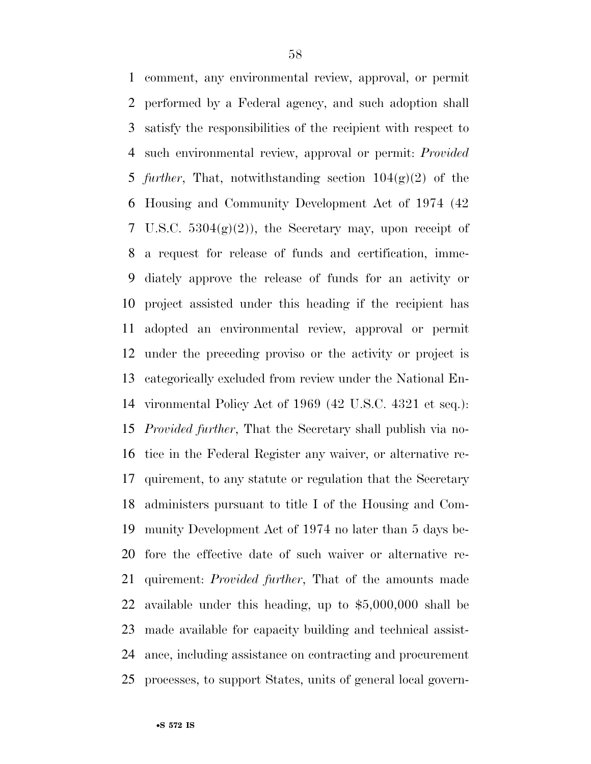comment, any environmental review, approval, or permit performed by a Federal agency, and such adoption shall satisfy the responsibilities of the recipient with respect to such environmental review, approval or permit: *Provided further*, That, notwithstanding section 104(g)(2) of the Housing and Community Development Act of 1974 (42 7 U.S.C.  $5304(g)(2)$ , the Secretary may, upon receipt of a request for release of funds and certification, imme- diately approve the release of funds for an activity or project assisted under this heading if the recipient has adopted an environmental review, approval or permit under the preceding proviso or the activity or project is categorically excluded from review under the National En- vironmental Policy Act of 1969 (42 U.S.C. 4321 et seq.): *Provided further*, That the Secretary shall publish via no- tice in the Federal Register any waiver, or alternative re- quirement, to any statute or regulation that the Secretary administers pursuant to title I of the Housing and Com- munity Development Act of 1974 no later than 5 days be- fore the effective date of such waiver or alternative re- quirement: *Provided further*, That of the amounts made available under this heading, up to \$5,000,000 shall be made available for capacity building and technical assist- ance, including assistance on contracting and procurement processes, to support States, units of general local govern-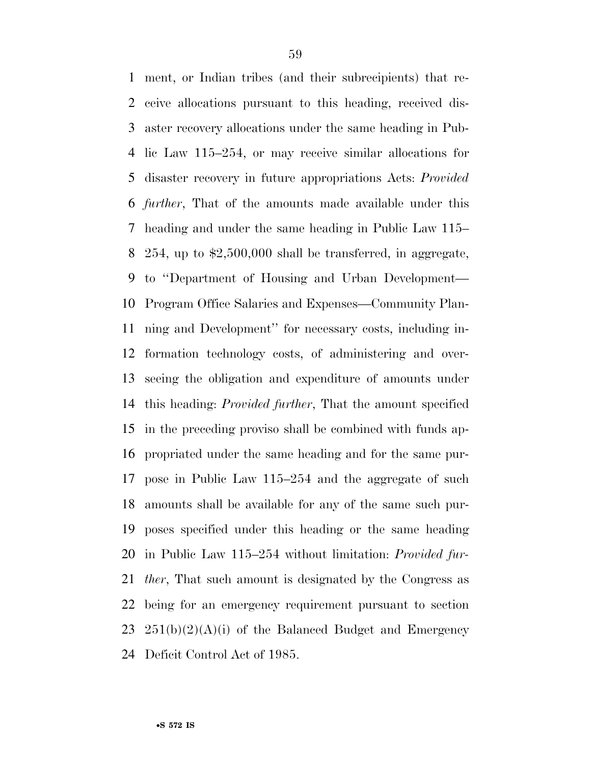ment, or Indian tribes (and their subrecipients) that re- ceive allocations pursuant to this heading, received dis- aster recovery allocations under the same heading in Pub- lic Law 115–254, or may receive similar allocations for disaster recovery in future appropriations Acts: *Provided further*, That of the amounts made available under this heading and under the same heading in Public Law 115– 254, up to \$2,500,000 shall be transferred, in aggregate, to ''Department of Housing and Urban Development— Program Office Salaries and Expenses—Community Plan- ning and Development'' for necessary costs, including in- formation technology costs, of administering and over- seeing the obligation and expenditure of amounts under this heading: *Provided further*, That the amount specified in the preceding proviso shall be combined with funds ap- propriated under the same heading and for the same pur- pose in Public Law 115–254 and the aggregate of such amounts shall be available for any of the same such pur- poses specified under this heading or the same heading in Public Law 115–254 without limitation: *Provided fur- ther*, That such amount is designated by the Congress as being for an emergency requirement pursuant to section  $251(b)(2)(A)(i)$  of the Balanced Budget and Emergency Deficit Control Act of 1985.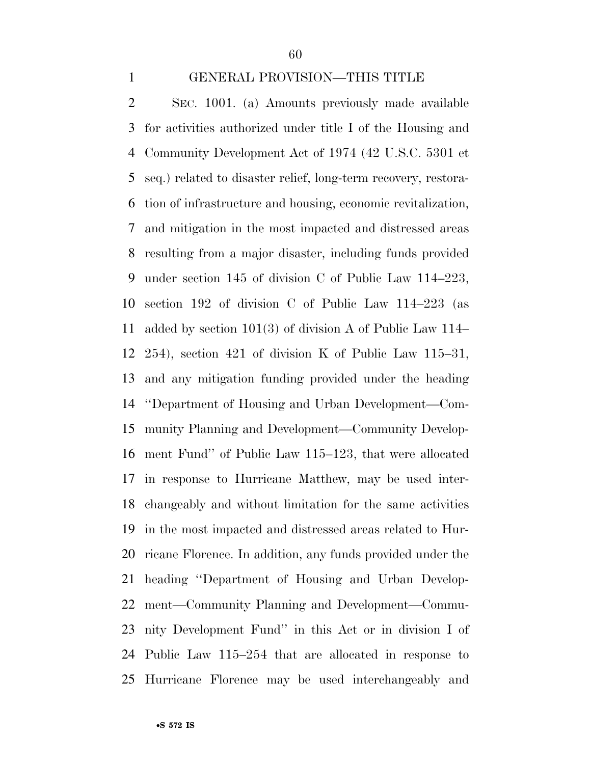#### GENERAL PROVISION—THIS TITLE

 SEC. 1001. (a) Amounts previously made available for activities authorized under title I of the Housing and Community Development Act of 1974 (42 U.S.C. 5301 et seq.) related to disaster relief, long-term recovery, restora- tion of infrastructure and housing, economic revitalization, and mitigation in the most impacted and distressed areas resulting from a major disaster, including funds provided under section 145 of division C of Public Law 114–223, section 192 of division C of Public Law 114–223 (as added by section 101(3) of division A of Public Law 114– 254), section 421 of division K of Public Law 115–31, and any mitigation funding provided under the heading ''Department of Housing and Urban Development—Com- munity Planning and Development—Community Develop- ment Fund'' of Public Law 115–123, that were allocated in response to Hurricane Matthew, may be used inter- changeably and without limitation for the same activities in the most impacted and distressed areas related to Hur- ricane Florence. In addition, any funds provided under the heading ''Department of Housing and Urban Develop- ment—Community Planning and Development—Commu- nity Development Fund'' in this Act or in division I of Public Law 115–254 that are allocated in response to Hurricane Florence may be used interchangeably and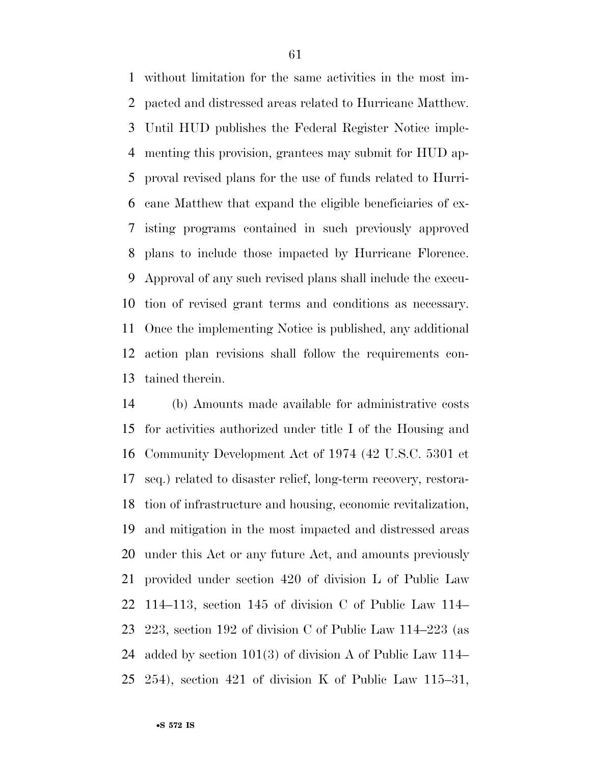without limitation for the same activities in the most im- pacted and distressed areas related to Hurricane Matthew. Until HUD publishes the Federal Register Notice imple- menting this provision, grantees may submit for HUD ap- proval revised plans for the use of funds related to Hurri- cane Matthew that expand the eligible beneficiaries of ex- isting programs contained in such previously approved plans to include those impacted by Hurricane Florence. Approval of any such revised plans shall include the execu- tion of revised grant terms and conditions as necessary. Once the implementing Notice is published, any additional action plan revisions shall follow the requirements con-tained therein.

 (b) Amounts made available for administrative costs for activities authorized under title I of the Housing and Community Development Act of 1974 (42 U.S.C. 5301 et seq.) related to disaster relief, long-term recovery, restora- tion of infrastructure and housing, economic revitalization, and mitigation in the most impacted and distressed areas under this Act or any future Act, and amounts previously provided under section 420 of division L of Public Law 114–113, section 145 of division C of Public Law 114– 223, section 192 of division C of Public Law 114–223 (as added by section 101(3) of division A of Public Law 114– 254), section 421 of division K of Public Law 115–31,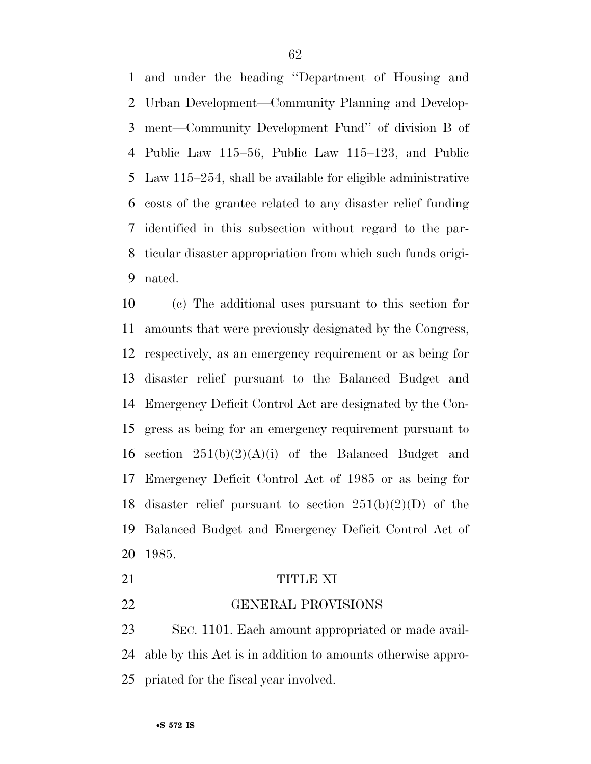and under the heading ''Department of Housing and Urban Development—Community Planning and Develop- ment—Community Development Fund'' of division B of Public Law 115–56, Public Law 115–123, and Public Law 115–254, shall be available for eligible administrative costs of the grantee related to any disaster relief funding identified in this subsection without regard to the par- ticular disaster appropriation from which such funds origi-nated.

 (c) The additional uses pursuant to this section for amounts that were previously designated by the Congress, respectively, as an emergency requirement or as being for disaster relief pursuant to the Balanced Budget and Emergency Deficit Control Act are designated by the Con- gress as being for an emergency requirement pursuant to 16 section  $251(b)(2)(A)(i)$  of the Balanced Budget and Emergency Deficit Control Act of 1985 or as being for 18 disaster relief pursuant to section  $251(b)(2)(D)$  of the Balanced Budget and Emergency Deficit Control Act of 1985.

### 21 TITLE XI

GENERAL PROVISIONS

 SEC. 1101. Each amount appropriated or made avail- able by this Act is in addition to amounts otherwise appro-priated for the fiscal year involved.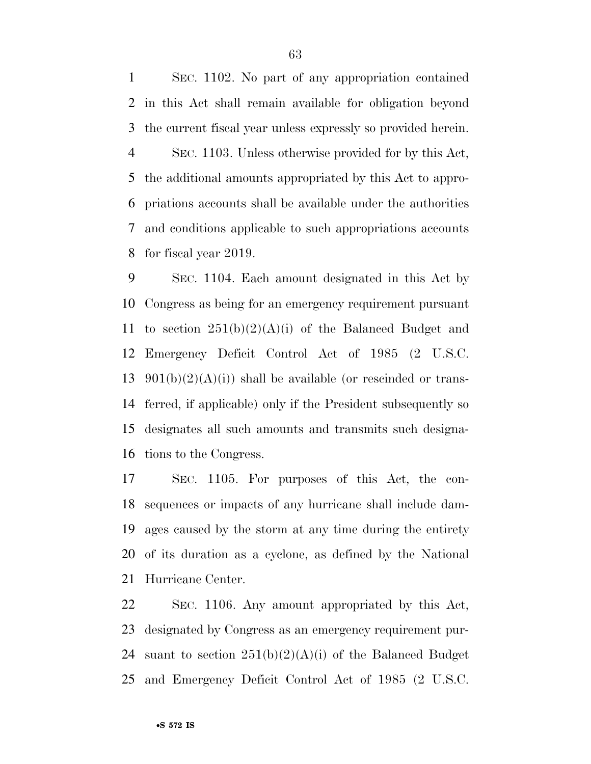SEC. 1102. No part of any appropriation contained in this Act shall remain available for obligation beyond the current fiscal year unless expressly so provided herein. SEC. 1103. Unless otherwise provided for by this Act, the additional amounts appropriated by this Act to appro- priations accounts shall be available under the authorities and conditions applicable to such appropriations accounts for fiscal year 2019.

 SEC. 1104. Each amount designated in this Act by Congress as being for an emergency requirement pursuant 11 to section  $251(b)(2)(A)(i)$  of the Balanced Budget and Emergency Deficit Control Act of 1985 (2 U.S.C.  $901(b)(2)(A(i))$  shall be available (or rescinded or trans- ferred, if applicable) only if the President subsequently so designates all such amounts and transmits such designa-tions to the Congress.

 SEC. 1105. For purposes of this Act, the con- sequences or impacts of any hurricane shall include dam- ages caused by the storm at any time during the entirety of its duration as a cyclone, as defined by the National Hurricane Center.

 SEC. 1106. Any amount appropriated by this Act, designated by Congress as an emergency requirement pur-24 suant to section  $251(b)(2)(A)(i)$  of the Balanced Budget and Emergency Deficit Control Act of 1985 (2 U.S.C.